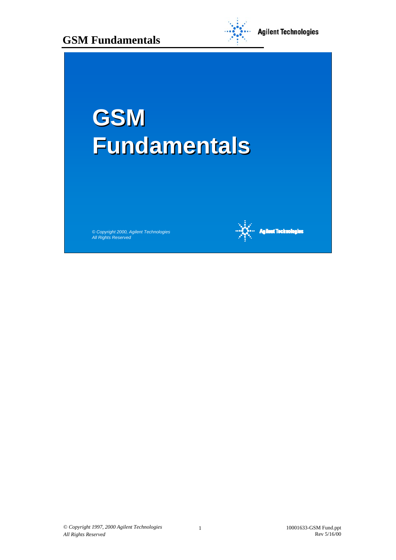



# **GSM Fundamentals Fundamentals**

*© Copyright 2000, Agilent Technologies All Rights Reserved*



**Agilent Technologies**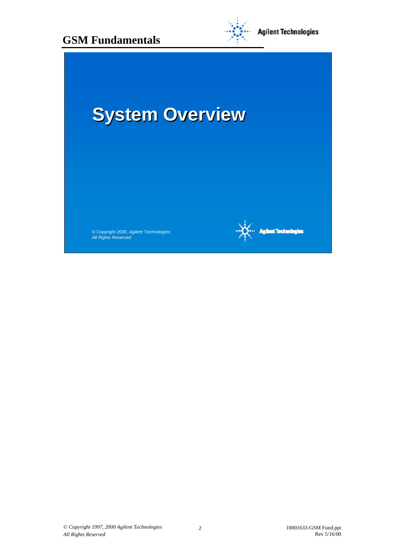



## **System Overview System Overview**

*© Copyright 2000, Agilent Technologies All Rights Reserved*



**Agilent Technologies**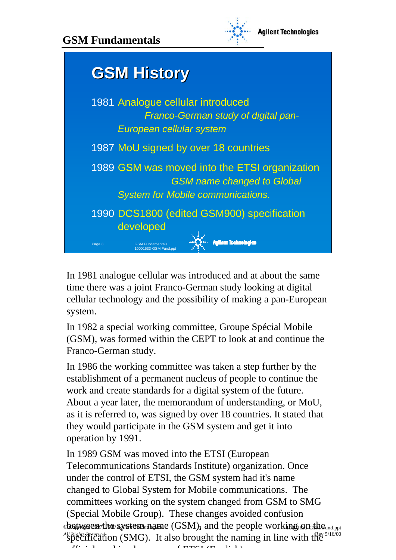#### **GSM Fundamentals**





In 1981 analogue cellular was introduced and at about the same time there was a joint Franco-German study looking at digital cellular technology and the possibility of making a pan-European system.

In 1982 a special working committee, Groupe Spécial Mobile (GSM), was formed within the CEPT to look at and continue the Franco-German study.

In 1986 the working committee was taken a step further by the establishment of a permanent nucleus of people to continue the work and create standards for a digital system of the future. About a year later, the memorandum of understanding, or MoU, as it is referred to, was signed by over 18 countries. It stated that they would participate in the GSM system and get it into operation by 1991.

cbetween the system name (GSM), and the people working on the und ppt All Rights Reserved Text ion (SMG). It also brought the naming in line with the <sup>5/16/00</sup> In 1989 GSM was moved into the ETSI (European Telecommunications Standards Institute) organization. Once under the control of ETSI, the GSM system had it's name changed to Global System for Mobile communications. The committees working on the system changed from GSM to SMG (Special Mobile Group). These changes avoided confusion  $f$  find  $\overline{F}$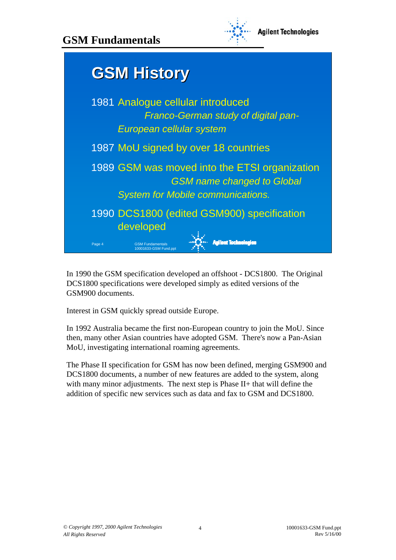#### **GSM Fundamentals**





In 1990 the GSM specification developed an offshoot - DCS1800. The Original DCS1800 specifications were developed simply as edited versions of the GSM900 documents.

Interest in GSM quickly spread outside Europe.

In 1992 Australia became the first non-European country to join the MoU. Since then, many other Asian countries have adopted GSM. There's now a Pan-Asian MoU, investigating international roaming agreements.

The Phase II specification for GSM has now been defined, merging GSM900 and DCS1800 documents, a number of new features are added to the system, along with many minor adjustments. The next step is Phase II+ that will define the addition of specific new services such as data and fax to GSM and DCS1800.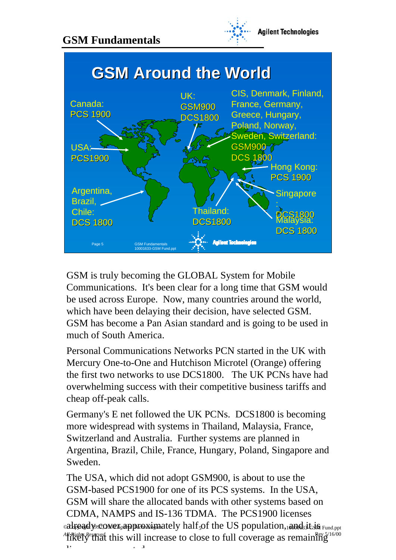

**Agilent Technologies** 



GSM is truly becoming the GLOBAL System for Mobile Communications. It's been clear for a long time that GSM would be used across Europe. Now, many countries around the world, which have been delaying their decision, have selected GSM. GSM has become a Pan Asian standard and is going to be used in much of South America.

Personal Communications Networks PCN started in the UK with Mercury One-to-One and Hutchison Microtel (Orange) offering the first two networks to use DCS1800. The UK PCNs have had overwhelming success with their competitive business tariffs and cheap off-peak calls.

Germany's E net followed the UK PCNs. DCS1800 is becoming more widespread with systems in Thailand, Malaysia, France, Switzerland and Australia. Further systems are planned in Argentina, Brazil, Chile, France, Hungary, Poland, Singapore and Sweden.

calready cover approximately half of the US population, and it is Fund.ppt *All Rights Reserved* this will increase to close to full coverage as remaining The USA, which did not adopt GSM900, is about to use the GSM-based PCS1900 for one of its PCS systems. In the USA, GSM will share the allocated bands with other systems based on CDMA, NAMPS and IS-136 TDMA. The PCS1900 licenses  $\mathbf{1}^{\bullet}$  denotes the distribution of  $\mathbf{1}$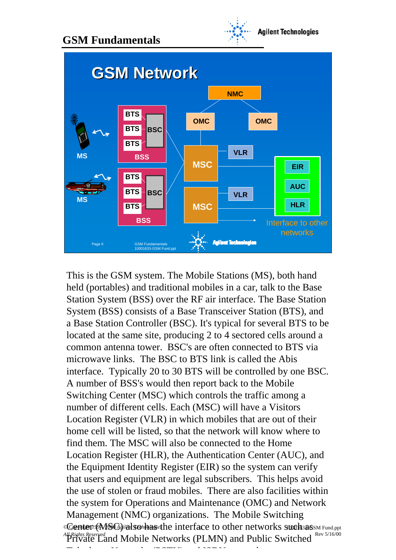#### **GSM Fundamentals**





Conter (MSC) *i* also has the interface to other networks such as such a ppt *All Rights Reserved* and Mobile Networks (PLMN) and Public Switched Rev 5/16/00 This is the GSM system. The Mobile Stations (MS), both hand held (portables) and traditional mobiles in a car, talk to the Base Station System (BSS) over the RF air interface. The Base Station System (BSS) consists of a Base Transceiver Station (BTS), and a Base Station Controller (BSC). It's typical for several BTS to be located at the same site, producing 2 to 4 sectored cells around a common antenna tower. BSC's are often connected to BTS via microwave links. The BSC to BTS link is called the Abis interface. Typically 20 to 30 BTS will be controlled by one BSC. A number of BSS's would then report back to the Mobile Switching Center (MSC) which controls the traffic among a number of different cells. Each (MSC) will have a Visitors Location Register (VLR) in which mobiles that are out of their home cell will be listed, so that the network will know where to find them. The MSC will also be connected to the Home Location Register (HLR), the Authentication Center (AUC), and the Equipment Identity Register (EIR) so the system can verify that users and equipment are legal subscribers. This helps avoid the use of stolen or fraud mobiles. There are also facilities within the system for Operations and Maintenance (OMC) and Network Management (NMC) organizations. The Mobile Switching

T l h N k (PSTN) dia na kaominina mpikambana kaominina mpikambana kaominina mpikambana kaominina mpikambana ka<br>Jene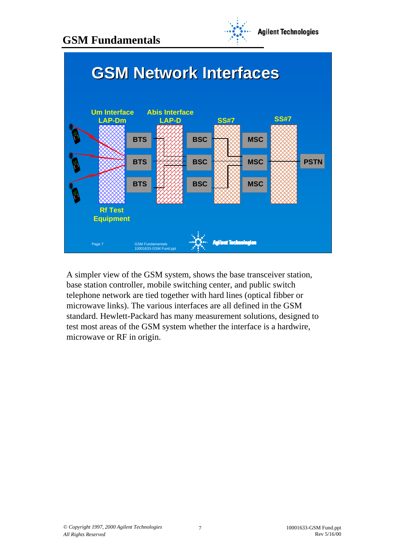



A simpler view of the GSM system, shows the base transceiver station, base station controller, mobile switching center, and public switch telephone network are tied together with hard lines (optical fibber or microwave links). The various interfaces are all defined in the GSM standard. Hewlett-Packard has many measurement solutions, designed to test most areas of the GSM system whether the interface is a hardwire, microwave or RF in origin.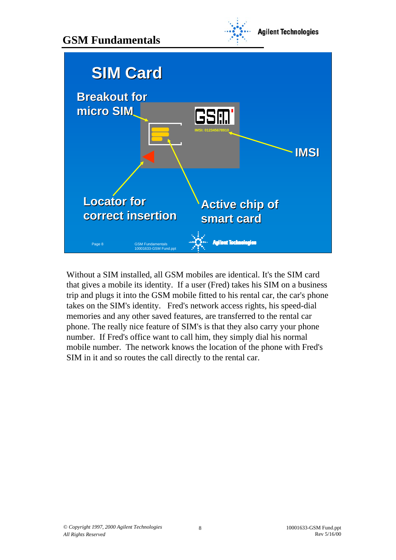





Without a SIM installed, all GSM mobiles are identical. It's the SIM card that gives a mobile its identity. If a user (Fred) takes his SIM on a business trip and plugs it into the GSM mobile fitted to his rental car, the car's phone takes on the SIM's identity. Fred's network access rights, his speed-dial memories and any other saved features, are transferred to the rental car phone. The really nice feature of SIM's is that they also carry your phone number. If Fred's office want to call him, they simply dial his normal mobile number. The network knows the location of the phone with Fred's SIM in it and so routes the call directly to the rental car.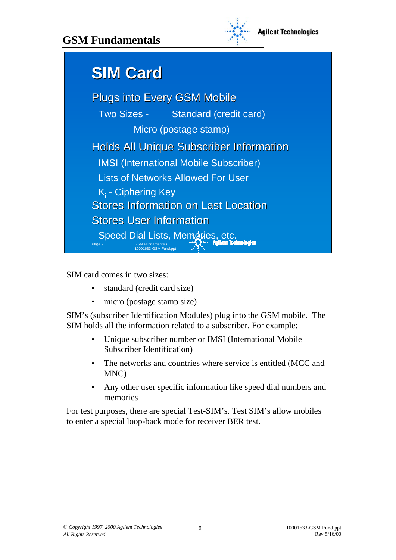

### **SIM Card SIM Card**

Plugs into Every GSM Mobile Two Sizes - Standard (credit card) Micro (postage stamp) **Holds All Unique Subscriber Information** IMSI (International Mobile Subscriber) Lists of Networks Allowed For User  $K_i$  - Ciphering Key Stores Information on Last Location **Stores User Information** Speed Dial Lists, Memories, etc. **nologies** Page 9 GSM Fundamentals 10001633-GSM Fund.ppt

SIM card comes in two sizes:

- standard (credit card size)
- micro (postage stamp size)

SIM's (subscriber Identification Modules) plug into the GSM mobile. The SIM holds all the information related to a subscriber. For example:

- Unique subscriber number or IMSI (International Mobile Subscriber Identification)
- The networks and countries where service is entitled (MCC and MNC)
- Any other user specific information like speed dial numbers and memories

For test purposes, there are special Test-SIM's. Test SIM's allow mobiles to enter a special loop-back mode for receiver BER test.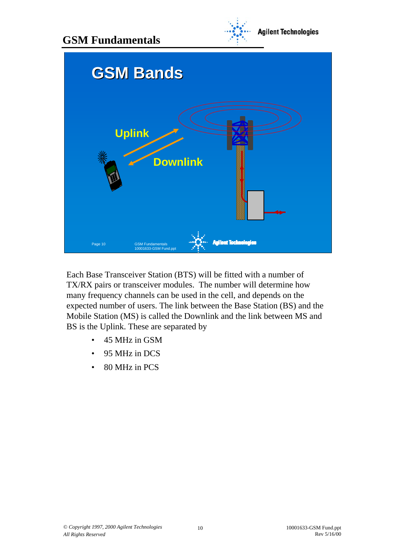





Each Base Transceiver Station (BTS) will be fitted with a number of TX/RX pairs or transceiver modules. The number will determine how many frequency channels can be used in the cell, and depends on the expected number of users. The link between the Base Station (BS) and the Mobile Station (MS) is called the Downlink and the link between MS and BS is the Uplink. These are separated by

- 45 MHz in GSM
- 95 MHz in DCS
- 80 MHz in PCS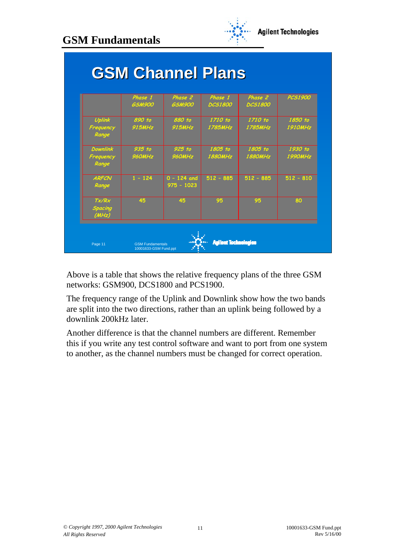|                                       | Phase 1<br><b>GSM900</b> | Phase 2<br><b>GSM900</b>      | Phase 1<br><b>DCS1800</b> | Phase 2<br><b>DCS1800</b> | <b>PCS1900</b>            |
|---------------------------------------|--------------------------|-------------------------------|---------------------------|---------------------------|---------------------------|
| <b>Uplink</b><br>Frequency<br>Range   | 890 to<br>$915$ MHz      | 880 to<br>$915$ MHz           | 1710 to<br>1785MHz        | 1710 to<br>1785MHz        | 1850 to<br><b>1910MHz</b> |
| <b>Downlink</b><br>Frequency<br>Range | 935 to<br><b>960MHz</b>  | $925$ to<br><b>960MHz</b>     | 1805 to<br><b>1880MHz</b> | 1805 to<br><b>1880MHz</b> | 1930 to<br><b>1990MHz</b> |
| <b>ARFCN</b><br>Range                 | $1 - 124$                | $0 - 124$ and<br>$975 - 1023$ | $512 - 885$               | $512 - 885$               | $512 - 810$               |
| Tx/Rx<br><b>Spacing</b><br>(MHz)      | 45                       | 45                            | 95                        | 95                        | 80                        |

Above is a table that shows the relative frequency plans of the three GSM networks: GSM900, DCS1800 and PCS1900.

The frequency range of the Uplink and Downlink show how the two bands are split into the two directions, rather than an uplink being followed by a downlink 200kHz later.

Another difference is that the channel numbers are different. Remember this if you write any test control software and want to port from one system to another, as the channel numbers must be changed for correct operation.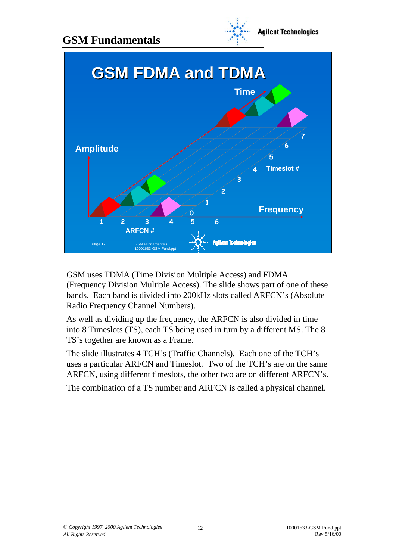



GSM uses TDMA (Time Division Multiple Access) and FDMA (Frequency Division Multiple Access). The slide shows part of one of these bands. Each band is divided into 200kHz slots called ARFCN's (Absolute Radio Frequency Channel Numbers).

As well as dividing up the frequency, the ARFCN is also divided in time into 8 Timeslots (TS), each TS being used in turn by a different MS. The 8 TS's together are known as a Frame.

The slide illustrates 4 TCH's (Traffic Channels). Each one of the TCH's uses a particular ARFCN and Timeslot. Two of the TCH's are on the same ARFCN, using different timeslots, the other two are on different ARFCN's.

The combination of a TS number and ARFCN is called a physical channel.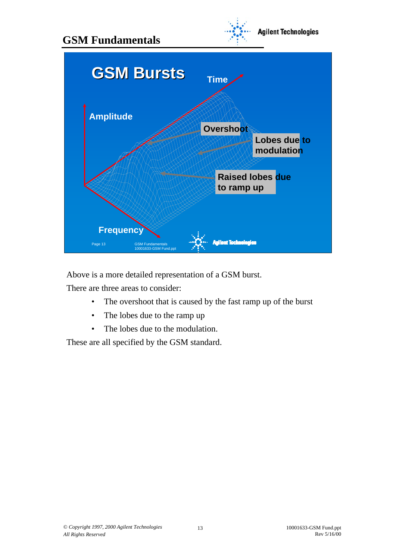

Above is a more detailed representation of a GSM burst.

There are three areas to consider:

- The overshoot that is caused by the fast ramp up of the burst
- The lobes due to the ramp up
- The lobes due to the modulation.

These are all specified by the GSM standard.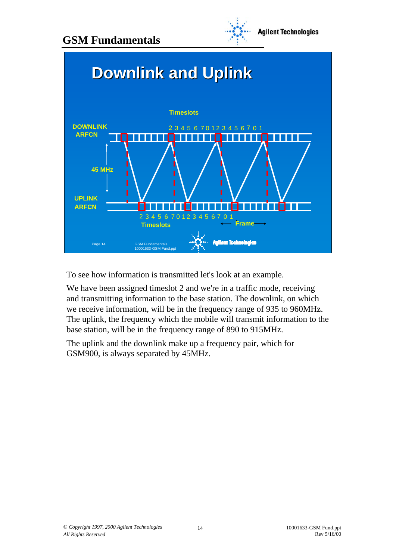



To see how information is transmitted let's look at an example.

We have been assigned timeslot 2 and we're in a traffic mode, receiving and transmitting information to the base station. The downlink, on which we receive information, will be in the frequency range of 935 to 960MHz. The uplink, the frequency which the mobile will transmit information to the base station, will be in the frequency range of 890 to 915MHz.

The uplink and the downlink make up a frequency pair, which for GSM900, is always separated by 45MHz.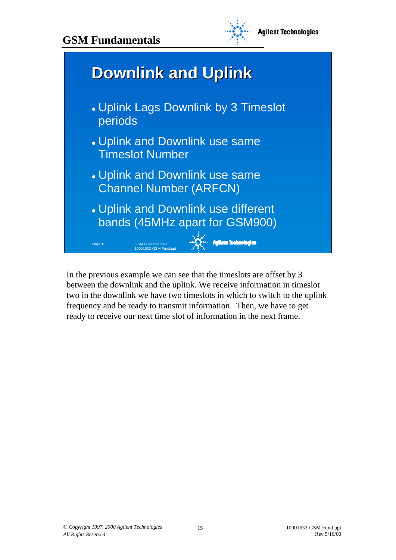



In the previous example we can see that the timeslots are offset by 3 between the downlink and the uplink. We receive information in timeslot two in the downlink we have two timeslots in which to switch to the uplink frequency and be ready to transmit information. Then, we have to get ready to receive our next time slot of information in the next frame.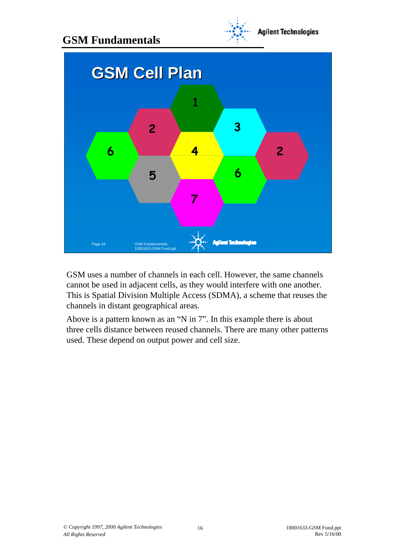#### **GSM Fundamentals**





GSM uses a number of channels in each cell. However, the same channels cannot be used in adjacent cells, as they would interfere with one another. This is Spatial Division Multiple Access (SDMA), a scheme that reuses the channels in distant geographical areas.

Above is a pattern known as an "N in 7". In this example there is about three cells distance between reused channels. There are many other patterns used. These depend on output power and cell size.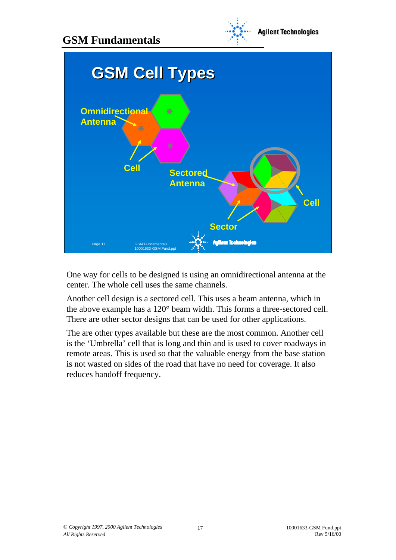



One way for cells to be designed is using an omnidirectional antenna at the center. The whole cell uses the same channels.

Another cell design is a sectored cell. This uses a beam antenna, which in the above example has a 120° beam width. This forms a three-sectored cell. There are other sector designs that can be used for other applications.

The are other types available but these are the most common. Another cell is the 'Umbrella' cell that is long and thin and is used to cover roadways in remote areas. This is used so that the valuable energy from the base station is not wasted on sides of the road that have no need for coverage. It also reduces handoff frequency.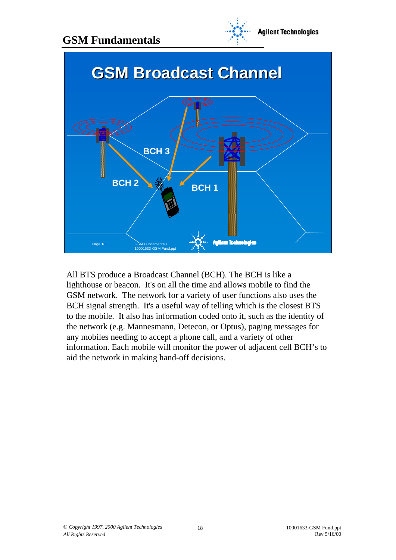



All BTS produce a Broadcast Channel (BCH). The BCH is like a lighthouse or beacon. It's on all the time and allows mobile to find the GSM network. The network for a variety of user functions also uses the BCH signal strength. It's a useful way of telling which is the closest BTS to the mobile. It also has information coded onto it, such as the identity of the network (e.g. Mannesmann, Detecon, or Optus), paging messages for any mobiles needing to accept a phone call, and a variety of other information. Each mobile will monitor the power of adjacent cell BCH's to aid the network in making hand-off decisions.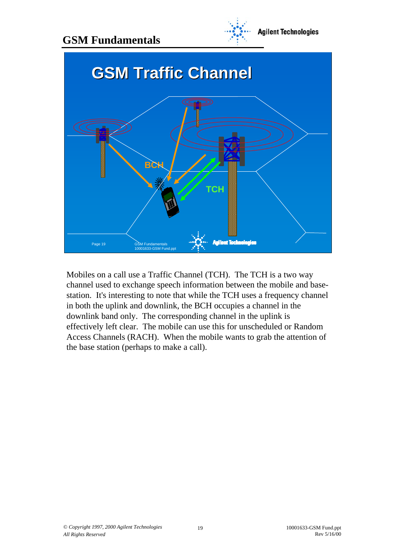



Mobiles on a call use a Traffic Channel (TCH). The TCH is a two way channel used to exchange speech information between the mobile and basestation. It's interesting to note that while the TCH uses a frequency channel in both the uplink and downlink, the BCH occupies a channel in the downlink band only. The corresponding channel in the uplink is effectively left clear. The mobile can use this for unscheduled or Random Access Channels (RACH). When the mobile wants to grab the attention of the base station (perhaps to make a call).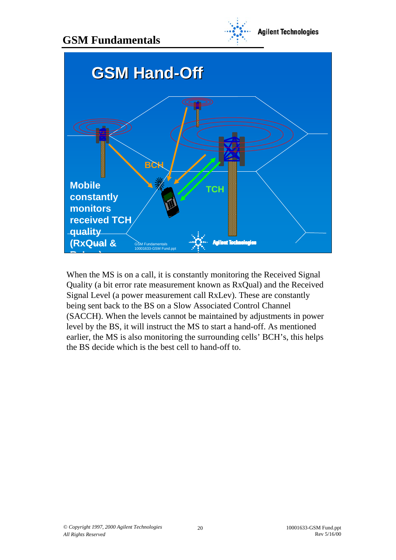



When the MS is on a call, it is constantly monitoring the Received Signal Quality (a bit error rate measurement known as RxQual) and the Received Signal Level (a power measurement call RxLev). These are constantly being sent back to the BS on a Slow Associated Control Channel (SACCH). When the levels cannot be maintained by adjustments in power level by the BS, it will instruct the MS to start a hand-off. As mentioned earlier, the MS is also monitoring the surrounding cells' BCH's, this helps the BS decide which is the best cell to hand-off to.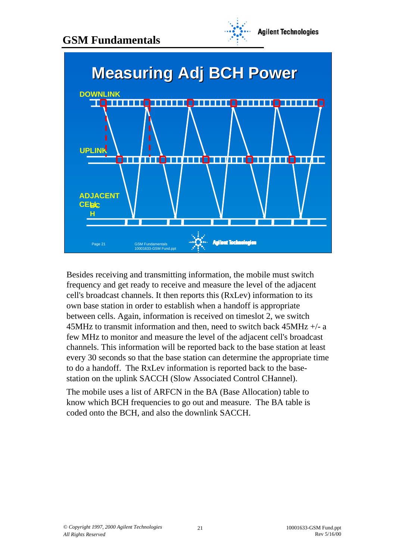



Besides receiving and transmitting information, the mobile must switch frequency and get ready to receive and measure the level of the adjacent cell's broadcast channels. It then reports this (RxLev) information to its own base station in order to establish when a handoff is appropriate between cells. Again, information is received on timeslot 2, we switch 45MHz to transmit information and then, need to switch back  $45MHz +/-a$ few MHz to monitor and measure the level of the adjacent cell's broadcast channels. This information will be reported back to the base station at least every 30 seconds so that the base station can determine the appropriate time to do a handoff. The RxLev information is reported back to the basestation on the uplink SACCH (Slow Associated Control CHannel).

The mobile uses a list of ARFCN in the BA (Base Allocation) table to know which BCH frequencies to go out and measure. The BA table is coded onto the BCH, and also the downlink SACCH.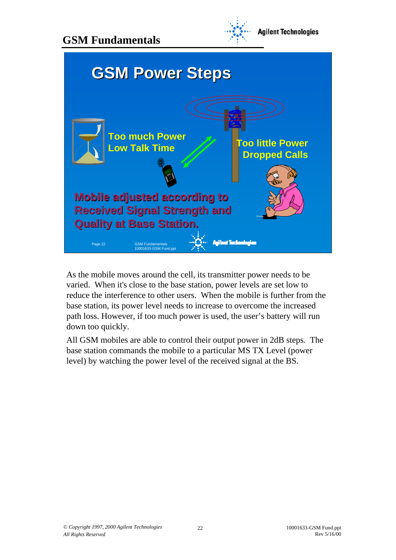



As the mobile moves around the cell, its transmitter power needs to be varied. When it's close to the base station, power levels are set low to reduce the interference to other users. When the mobile is further from the base station, its power level needs to increase to overcome the increased path loss. However, if too much power is used, the user's battery will run down too quickly.

All GSM mobiles are able to control their output power in 2dB steps. The base station commands the mobile to a particular MS TX Level (power level) by watching the power level of the received signal at the BS.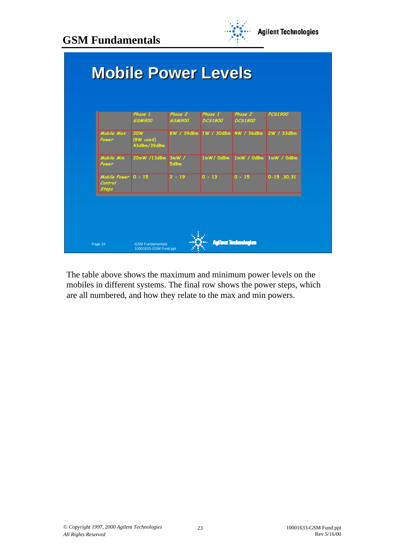

|                                                | Phase 1<br><b>GSM900</b>               | Phase 2<br><b>GSM900</b> | Phase 1<br><b>DCS1800</b> | Phase 2<br><b>DCS1800</b> | PCS1900         |
|------------------------------------------------|----------------------------------------|--------------------------|---------------------------|---------------------------|-----------------|
| Mobile Max<br>Power                            | <b>20W</b><br>(8W used)<br>43dBm/39dBm | 8W / 39dBm               | 1W / 30dBm                | 4W / 36dBm                | 2W / 33dBm      |
| Mobile Min<br>Power                            | 20mW /13dBm                            | 3mW/<br>5dBm             | 1mW/0dBm                  | $1mW / ^0$ dBm            | 1mW / OdBm      |
| <b>Mobile Power</b><br>Control<br><b>Steps</b> | $0 - 15$                               | $2 - 19$                 | $0 - 13$                  | $0 - 15$                  | $0 - 15$ .30.31 |

The table above shows the maximum and minimum power levels on the mobiles in different systems. The final row shows the power steps, which are all numbered, and how they relate to the max and min powers.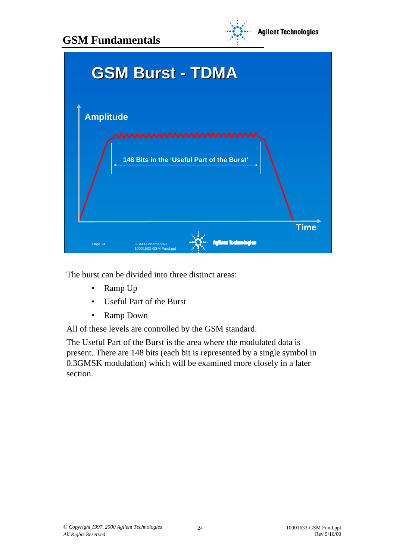



The burst can be divided into three distinct areas:

- Ramp Up
- Useful Part of the Burst
- Ramp Down

All of these levels are controlled by the GSM standard.

The Useful Part of the Burst is the area where the modulated data is present. There are 148 bits (each bit is represented by a single symbol in 0.3GMSK modulation) which will be examined more closely in a later section.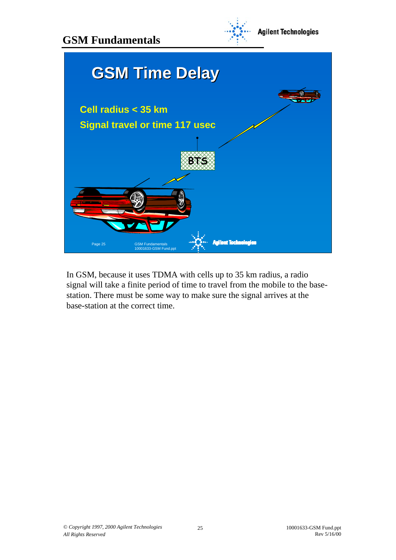**GSM Fundamentals**





In GSM, because it uses TDMA with cells up to 35 km radius, a radio signal will take a finite period of time to travel from the mobile to the basestation. There must be some way to make sure the signal arrives at the base-station at the correct time.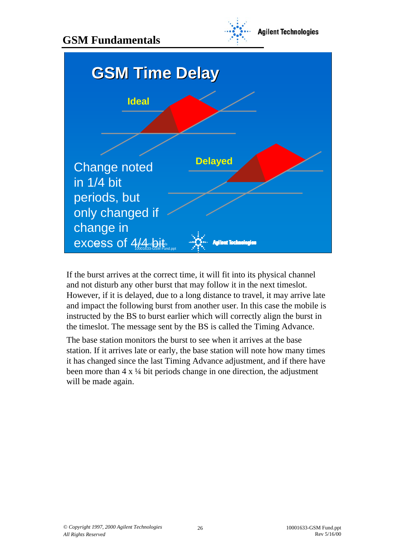



If the burst arrives at the correct time, it will fit into its physical channel and not disturb any other burst that may follow it in the next timeslot. However, if it is delayed, due to a long distance to travel, it may arrive late and impact the following burst from another user. In this case the mobile is instructed by the BS to burst earlier which will correctly align the burst in the timeslot. The message sent by the BS is called the Timing Advance.

The base station monitors the burst to see when it arrives at the base station. If it arrives late or early, the base station will note how many times it has changed since the last Timing Advance adjustment, and if there have been more than  $4 \times \frac{1}{4}$  bit periods change in one direction, the adjustment will be made again.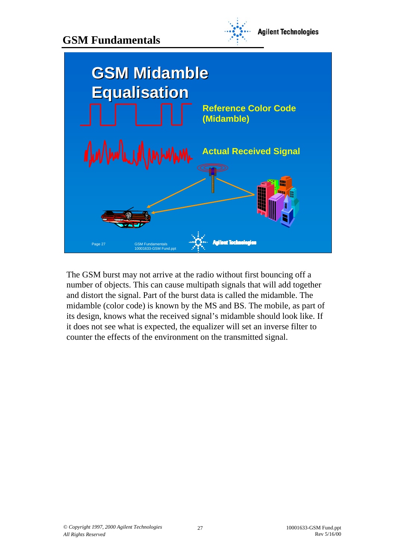



The GSM burst may not arrive at the radio without first bouncing off a number of objects. This can cause multipath signals that will add together and distort the signal. Part of the burst data is called the midamble. The midamble (color code) is known by the MS and BS. The mobile, as part of its design, knows what the received signal's midamble should look like. If it does not see what is expected, the equalizer will set an inverse filter to counter the effects of the environment on the transmitted signal.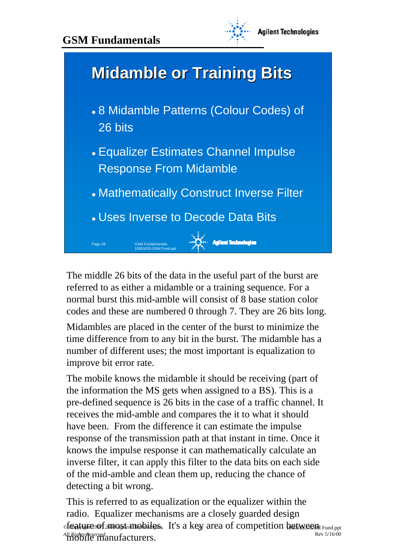



The middle 26 bits of the data in the useful part of the burst are referred to as either a midamble or a training sequence. For a normal burst this mid-amble will consist of 8 base station color codes and these are numbered 0 through 7. They are 26 bits long.

Midambles are placed in the center of the burst to minimize the time difference from to any bit in the burst. The midamble has a number of different uses; the most important is equalization to improve bit error rate.

The mobile knows the midamble it should be receiving (part of the information the MS gets when assigned to a BS). This is a pre-defined sequence is 26 bits in the case of a traffic channel. It receives the mid-amble and compares the it to what it should have been. From the difference it can estimate the impulse response of the transmission path at that instant in time. Once it knows the impulse response it can mathematically calculate an inverse filter, it can apply this filter to the data bits on each side of the mid-amble and clean them up, reducing the chance of detecting a bit wrong.

of cature of *2* most *mobiles*. It's a key area of competition between Fund.ppt Rev 5/16/00 *All Rights Reserved* mobile manufacturers. This is referred to as equalization or the equalizer within the radio. Equalizer mechanisms are a closely guarded design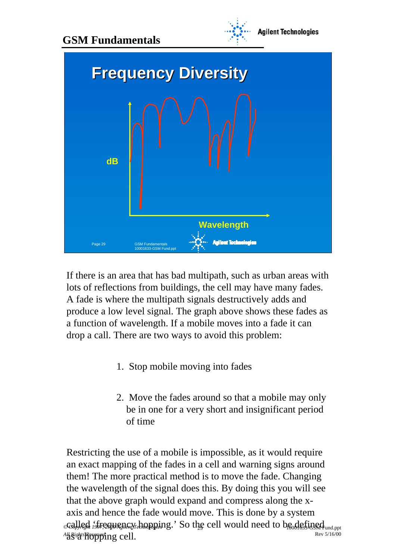





If there is an area that has bad multipath, such as urban areas with lots of reflections from buildings, the cell may have many fades. A fade is where the multipath signals destructively adds and produce a low level signal. The graph above shows these fades as a function of wavelength. If a mobile moves into a fade it can drop a call. There are two ways to avoid this problem:

- 1. Stop mobile moving into fades
- 2. Move the fades around so that a mobile may only be in one for a very short and insignificant period of time

called frequency hopping.' So the cell would need to be defined under Rev 5/16/00 *All Rights Reserved* as a hopping cell. Restricting the use of a mobile is impossible, as it would require an exact mapping of the fades in a cell and warning signs around them! The more practical method is to move the fade. Changing the wavelength of the signal does this. By doing this you will see that the above graph would expand and compress along the xaxis and hence the fade would move. This is done by a system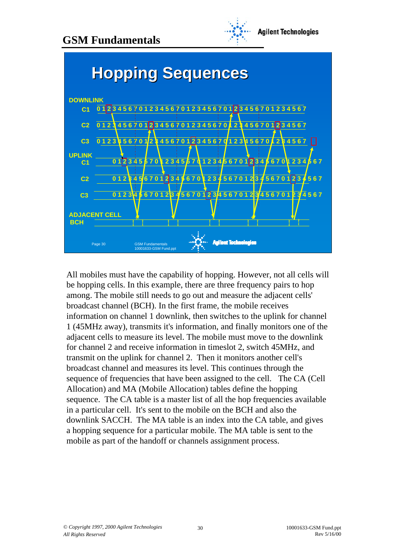



All mobiles must have the capability of hopping. However, not all cells will be hopping cells. In this example, there are three frequency pairs to hop among. The mobile still needs to go out and measure the adjacent cells' broadcast channel (BCH). In the first frame, the mobile receives information on channel 1 downlink, then switches to the uplink for channel 1 (45MHz away), transmits it's information, and finally monitors one of the adjacent cells to measure its level. The mobile must move to the downlink for channel 2 and receive information in timeslot 2, switch 45MHz, and transmit on the uplink for channel 2. Then it monitors another cell's broadcast channel and measures its level. This continues through the sequence of frequencies that have been assigned to the cell. The CA (Cell Allocation) and MA (Mobile Allocation) tables define the hopping sequence. The CA table is a master list of all the hop frequencies available in a particular cell. It's sent to the mobile on the BCH and also the downlink SACCH. The MA table is an index into the CA table, and gives a hopping sequence for a particular mobile. The MA table is sent to the mobile as part of the handoff or channels assignment process.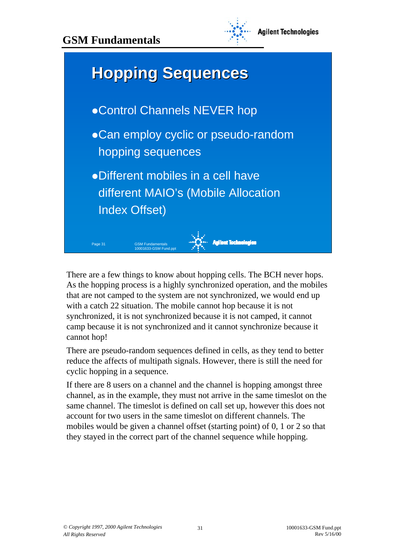



There are a few things to know about hopping cells. The BCH never hops. As the hopping process is a highly synchronized operation, and the mobiles that are not camped to the system are not synchronized, we would end up with a catch 22 situation. The mobile cannot hop because it is not synchronized, it is not synchronized because it is not camped, it cannot camp because it is not synchronized and it cannot synchronize because it cannot hop!

There are pseudo-random sequences defined in cells, as they tend to better reduce the affects of multipath signals. However, there is still the need for cyclic hopping in a sequence.

If there are 8 users on a channel and the channel is hopping amongst three channel, as in the example, they must not arrive in the same timeslot on the same channel. The timeslot is defined on call set up, however this does not account for two users in the same timeslot on different channels. The mobiles would be given a channel offset (starting point) of 0, 1 or 2 so that they stayed in the correct part of the channel sequence while hopping.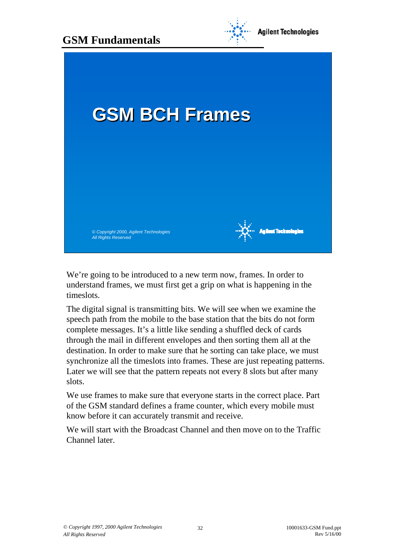





We're going to be introduced to a new term now, frames. In order to understand frames, we must first get a grip on what is happening in the timeslots.

The digital signal is transmitting bits. We will see when we examine the speech path from the mobile to the base station that the bits do not form complete messages. It's a little like sending a shuffled deck of cards through the mail in different envelopes and then sorting them all at the destination. In order to make sure that he sorting can take place, we must synchronize all the timeslots into frames. These are just repeating patterns. Later we will see that the pattern repeats not every 8 slots but after many slots.

We use frames to make sure that everyone starts in the correct place. Part of the GSM standard defines a frame counter, which every mobile must know before it can accurately transmit and receive.

We will start with the Broadcast Channel and then move on to the Traffic Channel later.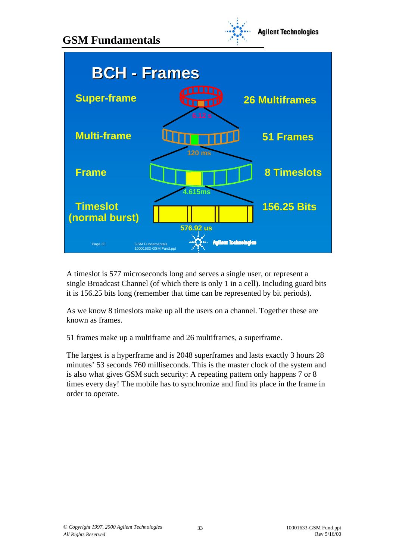**GSM Fundamentals**





A timeslot is 577 microseconds long and serves a single user, or represent a single Broadcast Channel (of which there is only 1 in a cell). Including guard bits it is 156.25 bits long (remember that time can be represented by bit periods).

As we know 8 timeslots make up all the users on a channel. Together these are known as frames.

51 frames make up a multiframe and 26 multiframes, a superframe.

The largest is a hyperframe and is 2048 superframes and lasts exactly 3 hours 28 minutes' 53 seconds 760 milliseconds. This is the master clock of the system and is also what gives GSM such security: A repeating pattern only happens 7 or 8 times every day! The mobile has to synchronize and find its place in the frame in order to operate.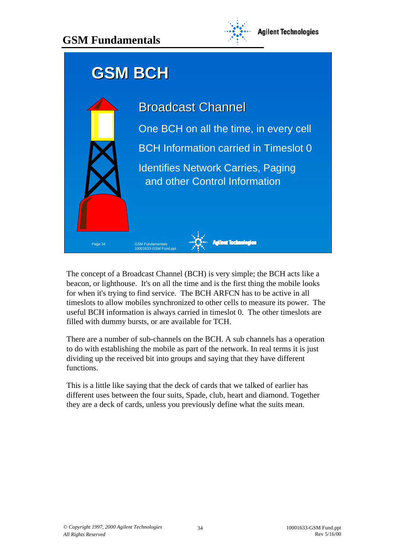#### **GSM Fundamentals**





The concept of a Broadcast Channel (BCH) is very simple; the BCH acts like a beacon, or lighthouse. It's on all the time and is the first thing the mobile looks for when it's trying to find service. The BCH ARFCN has to be active in all timeslots to allow mobiles synchronized to other cells to measure its power. The useful BCH information is always carried in timeslot 0. The other timeslots are filled with dummy bursts, or are available for TCH.

There are a number of sub-channels on the BCH. A sub channels has a operation to do with establishing the mobile as part of the network. In real terms it is just dividing up the received bit into groups and saying that they have different functions.

This is a little like saying that the deck of cards that we talked of earlier has different uses between the four suits, Spade, club, heart and diamond. Together they are a deck of cards, unless you previously define what the suits mean.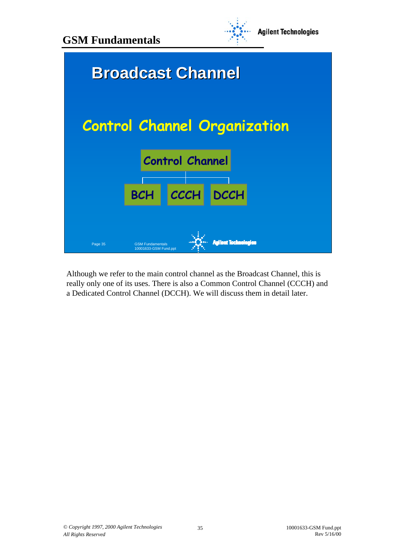



Although we refer to the main control channel as the Broadcast Channel, this is really only one of its uses. There is also a Common Control Channel (CCCH) and a Dedicated Control Channel (DCCH). We will discuss them in detail later.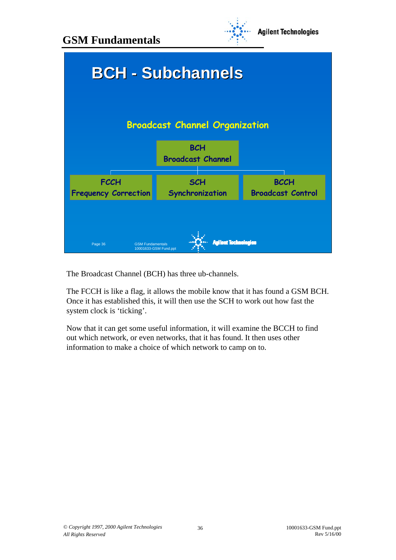



The Broadcast Channel (BCH) has three ub-channels.

The FCCH is like a flag, it allows the mobile know that it has found a GSM BCH. Once it has established this, it will then use the SCH to work out how fast the system clock is 'ticking'.

Now that it can get some useful information, it will examine the BCCH to find out which network, or even networks, that it has found. It then uses other information to make a choice of which network to camp on to.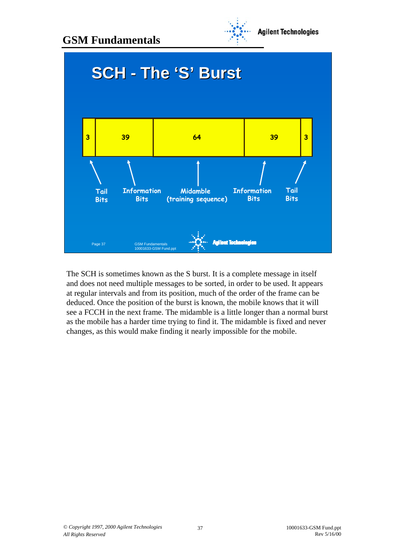



The SCH is sometimes known as the S burst. It is a complete message in itself and does not need multiple messages to be sorted, in order to be used. It appears at regular intervals and from its position, much of the order of the frame can be deduced. Once the position of the burst is known, the mobile knows that it will see a FCCH in the next frame. The midamble is a little longer than a normal burst as the mobile has a harder time trying to find it. The midamble is fixed and never changes, as this would make finding it nearly impossible for the mobile.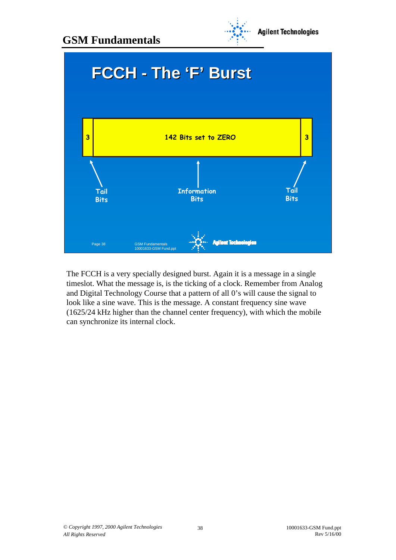



The FCCH is a very specially designed burst. Again it is a message in a single timeslot. What the message is, is the ticking of a clock. Remember from Analog and Digital Technology Course that a pattern of all 0's will cause the signal to look like a sine wave. This is the message. A constant frequency sine wave (1625/24 kHz higher than the channel center frequency), with which the mobile can synchronize its internal clock.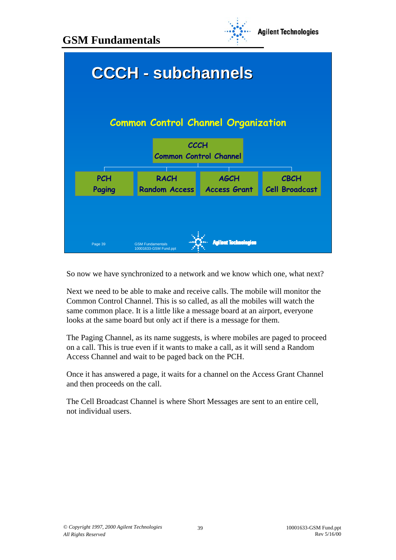

| <b>CCCH - subchannels</b>                                                                  |                                     |                                    |                                      |  |
|--------------------------------------------------------------------------------------------|-------------------------------------|------------------------------------|--------------------------------------|--|
| <b>Common Control Channel Organization</b><br><b>CCCH</b><br><b>Common Control Channel</b> |                                     |                                    |                                      |  |
| <b>PCH</b><br>Paging                                                                       | <b>RACH</b><br><b>Random Access</b> | <b>AGCH</b><br><b>Access Grant</b> | <b>CBCH</b><br><b>Cell Broadcast</b> |  |
| <b>Aailent Tochnologies</b><br><b>GSM Fundamentals</b><br>Page 39<br>10001633-GSM Fund.ppt |                                     |                                    |                                      |  |

So now we have synchronized to a network and we know which one, what next?

Next we need to be able to make and receive calls. The mobile will monitor the Common Control Channel. This is so called, as all the mobiles will watch the same common place. It is a little like a message board at an airport, everyone looks at the same board but only act if there is a message for them.

The Paging Channel, as its name suggests, is where mobiles are paged to proceed on a call. This is true even if it wants to make a call, as it will send a Random Access Channel and wait to be paged back on the PCH.

Once it has answered a page, it waits for a channel on the Access Grant Channel and then proceeds on the call.

The Cell Broadcast Channel is where Short Messages are sent to an entire cell, not individual users.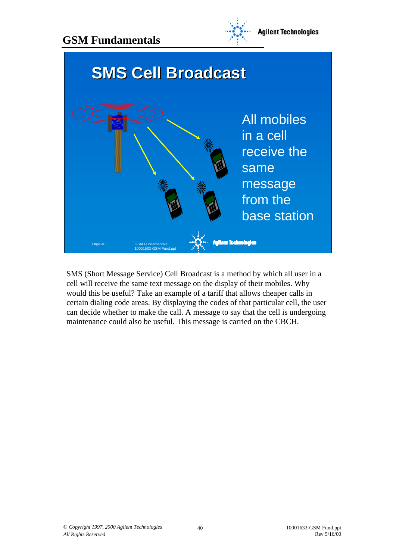



SMS (Short Message Service) Cell Broadcast is a method by which all user in a cell will receive the same text message on the display of their mobiles. Why would this be useful? Take an example of a tariff that allows cheaper calls in certain dialing code areas. By displaying the codes of that particular cell, the user can decide whether to make the call. A message to say that the cell is undergoing maintenance could also be useful. This message is carried on the CBCH.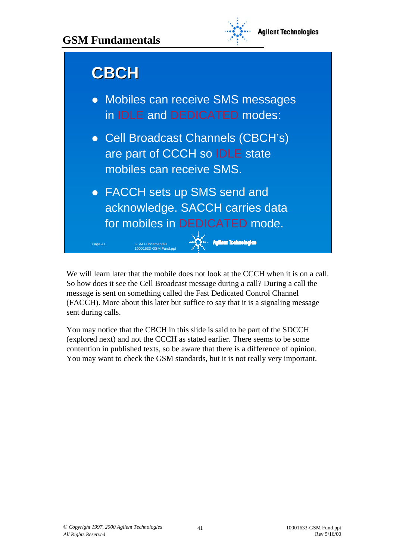

**Agilent Tochnologies** 

## **CBCH**

Page 41

- Mobiles can receive SMS messages in IDLE and DEDICATED modes:
- Cell Broadcast Channels (CBCH's) are part of CCCH so IDLE state mobiles can receive SMS.
- FACCH sets up SMS send and acknowledge. SACCH carries data for mobiles in DEDICATED mode.

GSM Fundamentals 10001633-GSM Fund.ppt

We will learn later that the mobile does not look at the CCCH when it is on a call. So how does it see the Cell Broadcast message during a call? During a call the message is sent on something called the Fast Dedicated Control Channel (FACCH). More about this later but suffice to say that it is a signaling message sent during calls.

You may notice that the CBCH in this slide is said to be part of the SDCCH (explored next) and not the CCCH as stated earlier. There seems to be some contention in published texts, so be aware that there is a difference of opinion. You may want to check the GSM standards, but it is not really very important.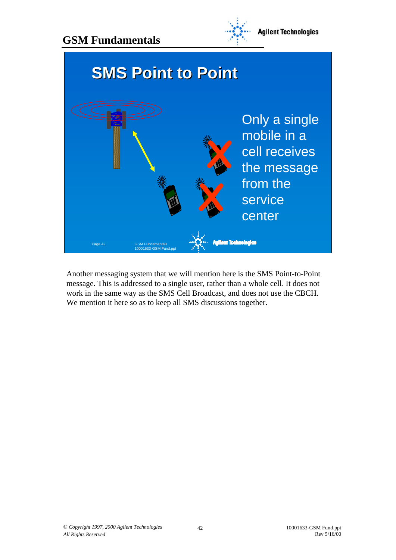



Another messaging system that we will mention here is the SMS Point-to-Point message. This is addressed to a single user, rather than a whole cell. It does not work in the same way as the SMS Cell Broadcast, and does not use the CBCH. We mention it here so as to keep all SMS discussions together.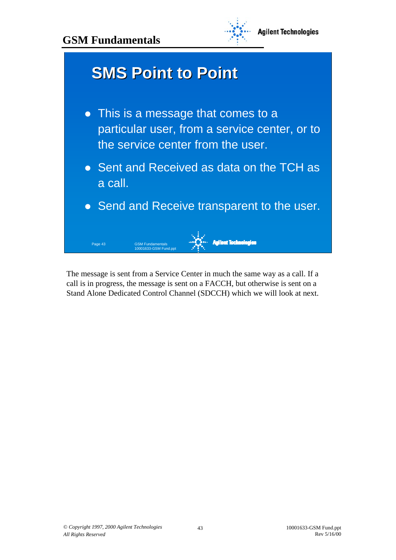



The message is sent from a Service Center in much the same way as a call. If a call is in progress, the message is sent on a FACCH, but otherwise is sent on a Stand Alone Dedicated Control Channel (SDCCH) which we will look at next.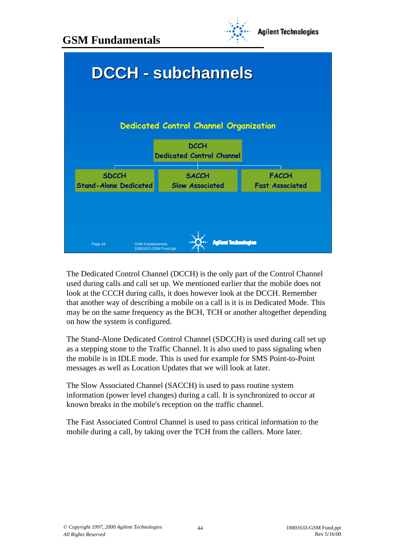



The Dedicated Control Channel (DCCH) is the only part of the Control Channel used during calls and call set up. We mentioned earlier that the mobile does not look at the CCCH during calls, it does however look at the DCCH. Remember that another way of describing a mobile on a call is it is in Dedicated Mode. This may be on the same frequency as the BCH, TCH or another altogether depending on how the system is configured.

The Stand-Alone Dedicated Control Channel (SDCCH) is used during call set up as a stepping stone to the Traffic Channel. It is also used to pass signaling when the mobile is in IDLE mode. This is used for example for SMS Point-to-Point messages as well as Location Updates that we will look at later.

The Slow Associated Channel (SACCH) is used to pass routine system information (power level changes) during a call. It is synchronized to occur at known breaks in the mobile's reception on the traffic channel.

The Fast Associated Control Channel is used to pass critical information to the mobile during a call, by taking over the TCH from the callers. More later.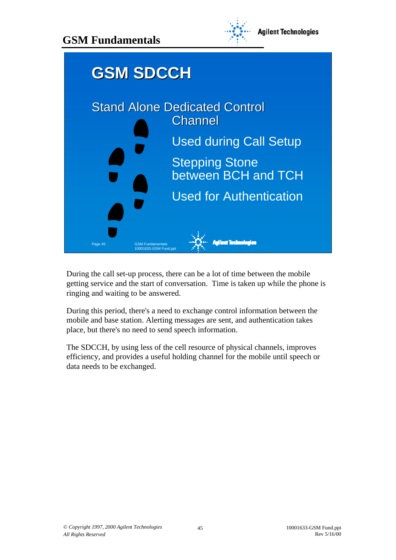



During the call set-up process, there can be a lot of time between the mobile getting service and the start of conversation. Time is taken up while the phone is ringing and waiting to be answered.

During this period, there's a need to exchange control information between the mobile and base station. Alerting messages are sent, and authentication takes place, but there's no need to send speech information.

The SDCCH, by using less of the cell resource of physical channels, improves efficiency, and provides a useful holding channel for the mobile until speech or data needs to be exchanged.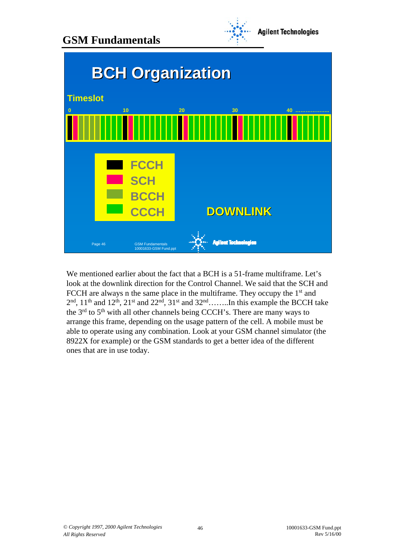



We mentioned earlier about the fact that a BCH is a 51-frame multiframe. Let's look at the downlink direction for the Control Channel. We said that the SCH and FCCH are always n the same place in the multiframe. They occupy the  $1<sup>st</sup>$  and  $2<sup>nd</sup>$ ,  $11<sup>th</sup>$  and  $12<sup>th</sup>$ ,  $21<sup>st</sup>$  and  $22<sup>nd</sup>$ ,  $31<sup>st</sup>$  and  $32<sup>nd</sup>$ ........In this example the BCCH take the  $3<sup>rd</sup>$  to  $5<sup>th</sup>$  with all other channels being CCCH's. There are many ways to arrange this frame, depending on the usage pattern of the cell. A mobile must be able to operate using any combination. Look at your GSM channel simulator (the 8922X for example) or the GSM standards to get a better idea of the different ones that are in use today.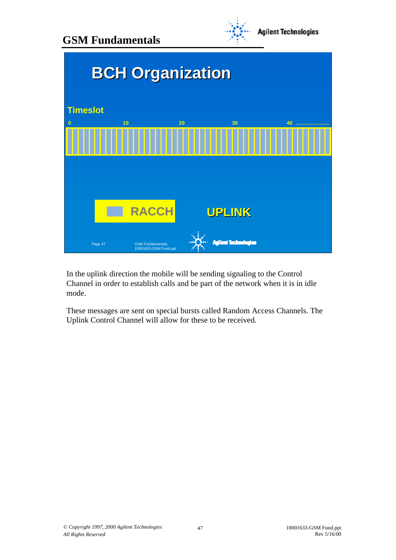



In the uplink direction the mobile will be sending signaling to the Control Channel in order to establish calls and be part of the network when it is in idle mode.

These messages are sent on special bursts called Random Access Channels. The Uplink Control Channel will allow for these to be received.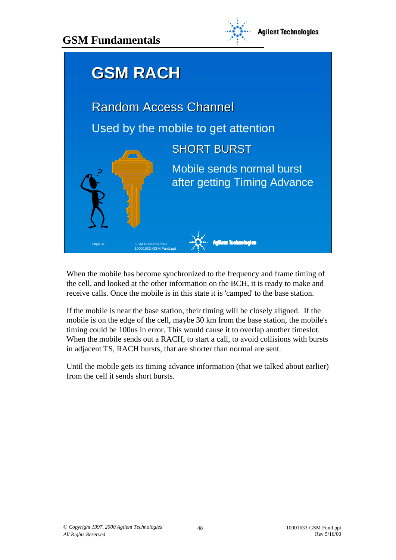



When the mobile has become synchronized to the frequency and frame timing of the cell, and looked at the other information on the BCH, it is ready to make and receive calls. Once the mobile is in this state it is 'camped' to the base station.

If the mobile is near the base station, their timing will be closely aligned. If the mobile is on the edge of the cell, maybe 30 km from the base station, the mobile's timing could be 100us in error. This would cause it to overlap another timeslot. When the mobile sends out a RACH, to start a call, to avoid collisions with bursts in adjacent TS, RACH bursts, that are shorter than normal are sent.

Until the mobile gets its timing advance information (that we talked about earlier) from the cell it sends short bursts.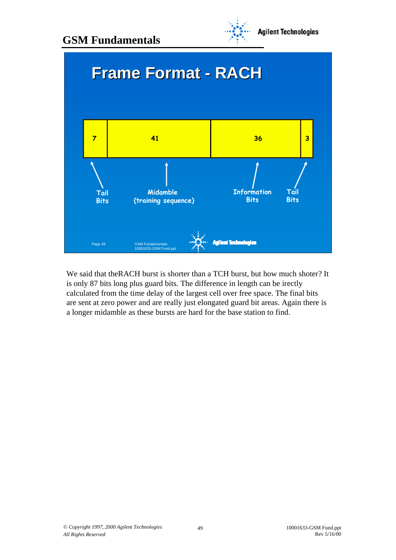

**Agilent Technologies** 



We said that theRACH burst is shorter than a TCH burst, but how much shoter? It is only 87 bits long plus guard bits. The difference in length can be irectly calculated from the time delay of the largest cell over free space. The final bits are sent at zero power and are really just elongated guard bit areas. Again there is a longer midamble as these bursts are hard for the base station to find.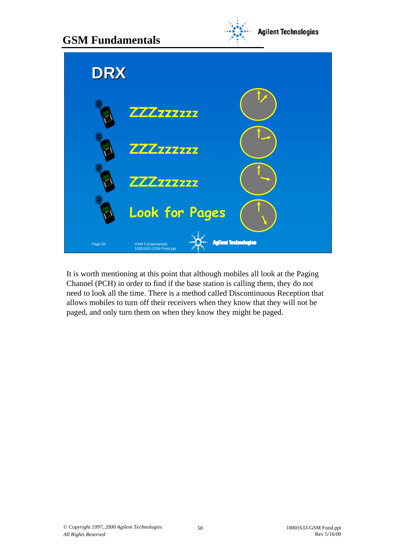

It is worth mentioning at this point that although mobiles all look at the Paging Channel (PCH) in order to find if the base station is calling them, they do not need to look all the time. There is a method called Discontinuous Reception that allows mobiles to turn off their receivers when they know that they will not be paged, and only turn them on when they know they might be paged.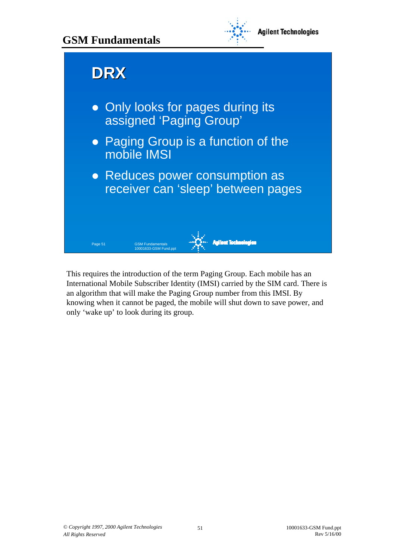



This requires the introduction of the term Paging Group. Each mobile has an International Mobile Subscriber Identity (IMSI) carried by the SIM card. There is an algorithm that will make the Paging Group number from this IMSI. By knowing when it cannot be paged, the mobile will shut down to save power, and only 'wake up' to look during its group.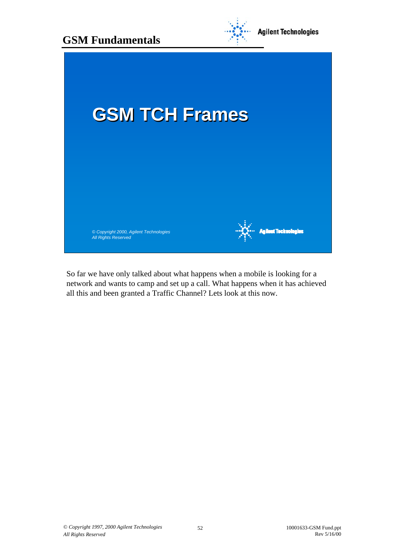

So far we have only talked about what happens when a mobile is looking for a network and wants to camp and set up a call. What happens when it has achieved all this and been granted a Traffic Channel? Lets look at this now.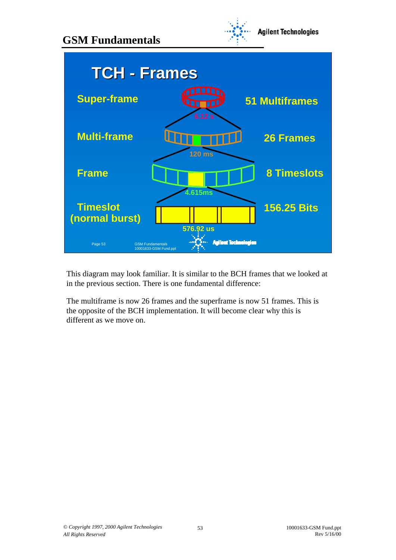**GSM Fundamentals**





This diagram may look familiar. It is similar to the BCH frames that we looked at in the previous section. There is one fundamental difference:

The multiframe is now 26 frames and the superframe is now 51 frames. This is the opposite of the BCH implementation. It will become clear why this is different as we move on.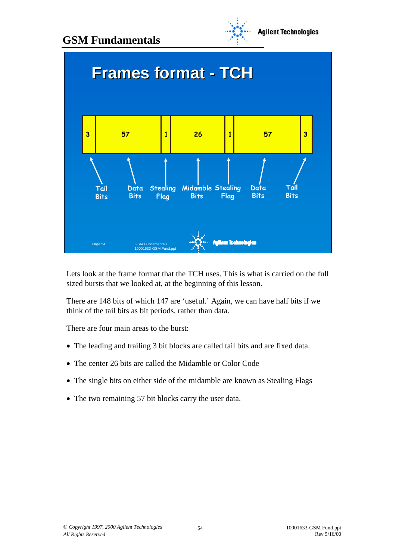



Lets look at the frame format that the TCH uses. This is what is carried on the full sized bursts that we looked at, at the beginning of this lesson.

There are 148 bits of which 147 are 'useful.' Again, we can have half bits if we think of the tail bits as bit periods, rather than data.

There are four main areas to the burst:

- The leading and trailing 3 bit blocks are called tail bits and are fixed data.
- The center 26 bits are called the Midamble or Color Code
- The single bits on either side of the midamble are known as Stealing Flags
- The two remaining 57 bit blocks carry the user data.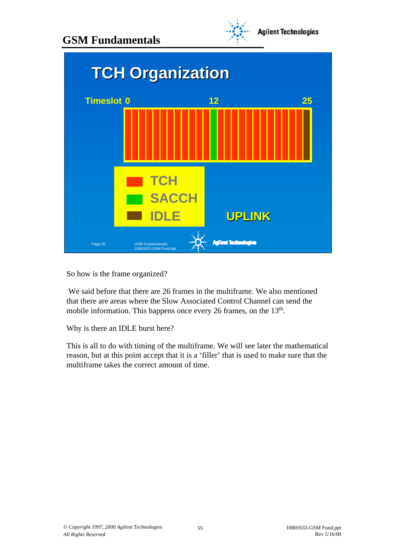



So how is the frame organized?

We said before that there are 26 frames in the multiframe. We also mentioned that there are areas where the Slow Associated Control Channel can send the mobile information. This happens once every 26 frames, on the 13<sup>th</sup>.

Why is there an IDLE burst here?

This is all to do with timing of the multiframe. We will see later the mathematical reason, but at this point accept that it is a 'filler' that is used to make sure that the multiframe takes the correct amount of time.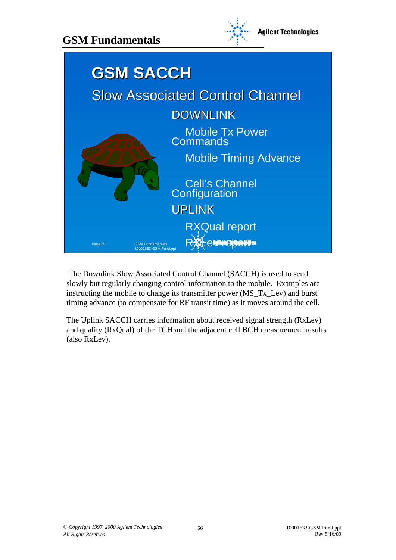



The Downlink Slow Associated Control Channel (SACCH) is used to send slowly but regularly changing control information to the mobile. Examples are instructing the mobile to change its transmitter power (MS\_Tx\_Lev) and burst timing advance (to compensate for RF transit time) as it moves around the cell.

The Uplink SACCH carries information about received signal strength (RxLev) and quality (RxQual) of the TCH and the adjacent cell BCH measurement results (also RxLev).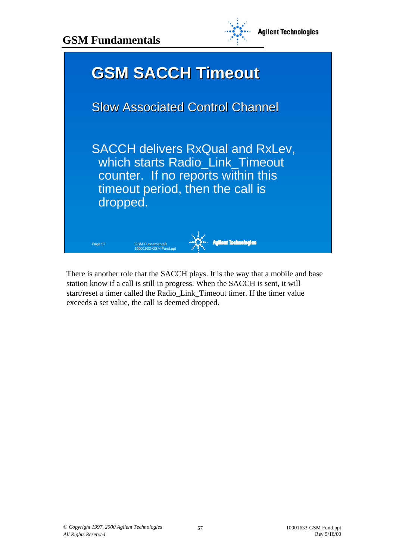

**Agilent Technologies** 



There is another role that the SACCH plays. It is the way that a mobile and base station know if a call is still in progress. When the SACCH is sent, it will start/reset a timer called the Radio\_Link\_Timeout timer. If the timer value exceeds a set value, the call is deemed dropped.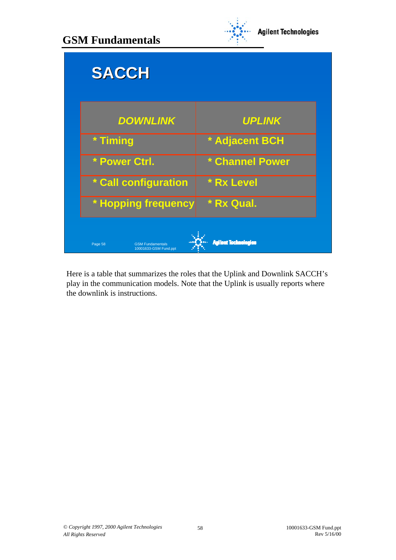

| <b>SACCH</b>                                                                               |                        |  |  |
|--------------------------------------------------------------------------------------------|------------------------|--|--|
| <b>DOWNLINK</b>                                                                            | <b>UPLINK</b>          |  |  |
| * Timing                                                                                   | * Adjacent BCH         |  |  |
| * Power Ctrl.                                                                              | <b>* Channel Power</b> |  |  |
| * Call configuration                                                                       | <b>* Rx Level</b>      |  |  |
| * Hopping frequency                                                                        | * Rx Qual.             |  |  |
| <b>Agilent Tochnologies</b><br><b>GSM Fundamentals</b><br>Page 58<br>10001633-GSM Fund.ppt |                        |  |  |

Here is a table that summarizes the roles that the Uplink and Downlink SACCH's play in the communication models. Note that the Uplink is usually reports where the downlink is instructions.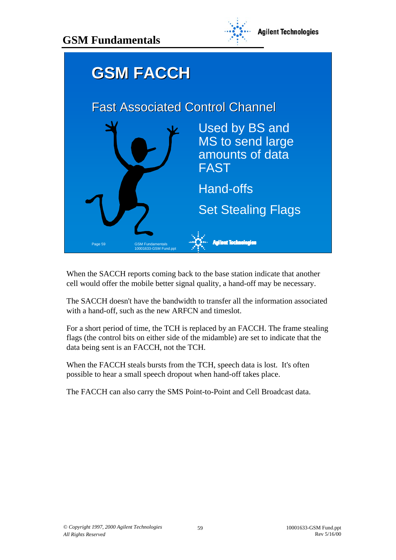



When the SACCH reports coming back to the base station indicate that another cell would offer the mobile better signal quality, a hand-off may be necessary.

The SACCH doesn't have the bandwidth to transfer all the information associated with a hand-off, such as the new ARFCN and timeslot.

For a short period of time, the TCH is replaced by an FACCH. The frame stealing flags (the control bits on either side of the midamble) are set to indicate that the data being sent is an FACCH, not the TCH.

When the FACCH steals bursts from the TCH, speech data is lost. It's often possible to hear a small speech dropout when hand-off takes place.

The FACCH can also carry the SMS Point-to-Point and Cell Broadcast data.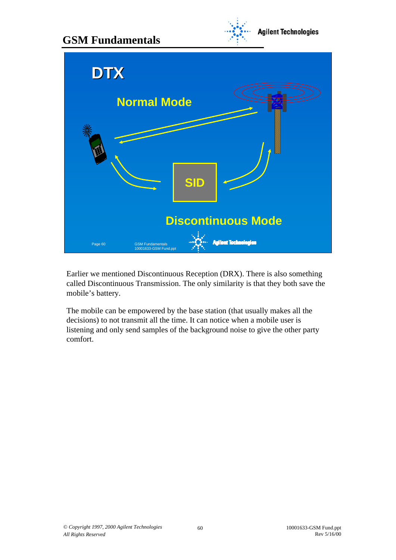

Earlier we mentioned Discontinuous Reception (DRX). There is also something called Discontinuous Transmission. The only similarity is that they both save the mobile's battery.

**Discontinuous Mode**

**Agilent Tochnologies** 

GSM Fundamentals 10001633-GSM Fund.ppt

Page 60

The mobile can be empowered by the base station (that usually makes all the decisions) to not transmit all the time. It can notice when a mobile user is listening and only send samples of the background noise to give the other party comfort.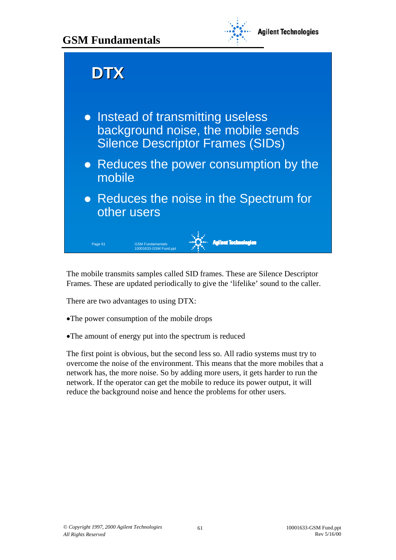



The mobile transmits samples called SID frames. These are Silence Descriptor Frames. These are updated periodically to give the 'lifelike' sound to the caller.

There are two advantages to using DTX:

- •The power consumption of the mobile drops
- •The amount of energy put into the spectrum is reduced

The first point is obvious, but the second less so. All radio systems must try to overcome the noise of the environment. This means that the more mobiles that a network has, the more noise. So by adding more users, it gets harder to run the network. If the operator can get the mobile to reduce its power output, it will reduce the background noise and hence the problems for other users.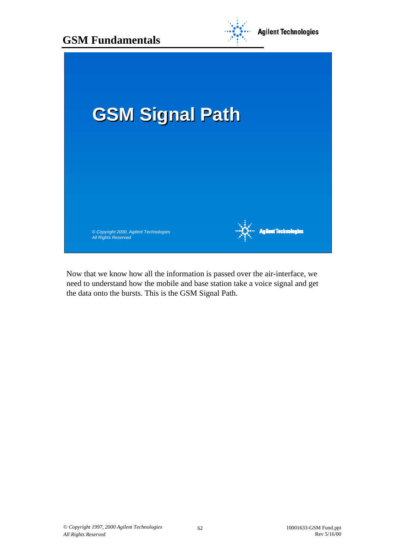

Now that we know how all the information is passed over the air-interface, we need to understand how the mobile and base station take a voice signal and get the data onto the bursts. This is the GSM Signal Path.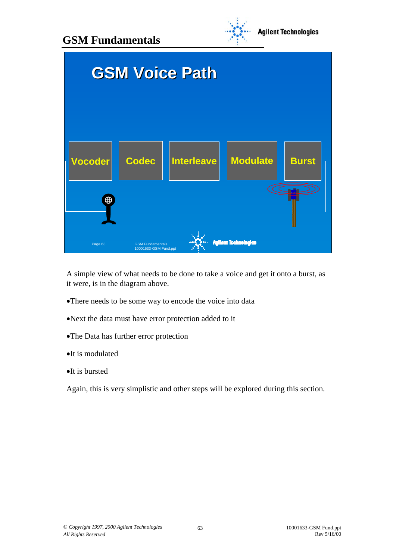



A simple view of what needs to be done to take a voice and get it onto a burst, as it were, is in the diagram above.

- •There needs to be some way to encode the voice into data
- •Next the data must have error protection added to it
- •The Data has further error protection
- •It is modulated
- •It is bursted

Again, this is very simplistic and other steps will be explored during this section.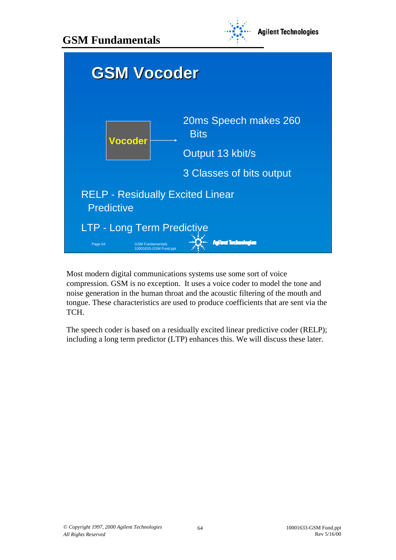



Most modern digital communications systems use some sort of voice compression. GSM is no exception. It uses a voice coder to model the tone and noise generation in the human throat and the acoustic filtering of the mouth and tongue. These characteristics are used to produce coefficients that are sent via the TCH.

The speech coder is based on a residually excited linear predictive coder (RELP); including a long term predictor (LTP) enhances this. We will discuss these later.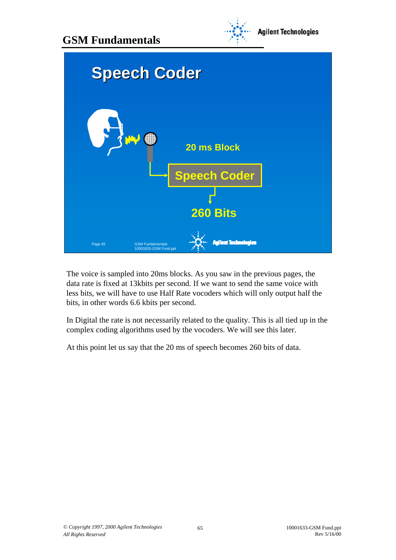



The voice is sampled into 20ms blocks. As you saw in the previous pages, the data rate is fixed at 13kbits per second. If we want to send the same voice with less bits, we will have to use Half Rate vocoders which will only output half the bits, in other words 6.6 kbits per second.

In Digital the rate is not necessarily related to the quality. This is all tied up in the complex coding algorithms used by the vocoders. We will see this later.

At this point let us say that the 20 ms of speech becomes 260 bits of data.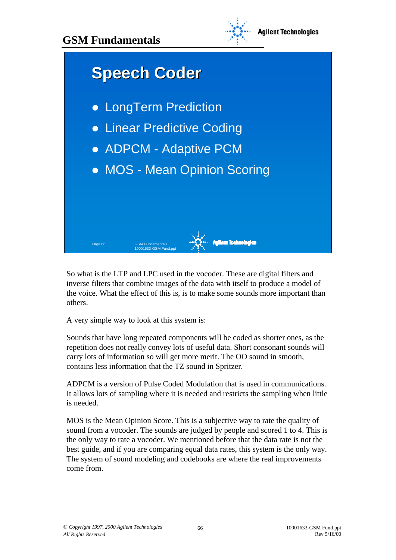



So what is the LTP and LPC used in the vocoder. These are digital filters and inverse filters that combine images of the data with itself to produce a model of the voice. What the effect of this is, is to make some sounds more important than others.

A very simple way to look at this system is:

Sounds that have long repeated components will be coded as shorter ones, as the repetition does not really convey lots of useful data. Short consonant sounds will carry lots of information so will get more merit. The OO sound in smooth, contains less information that the TZ sound in Spritzer.

ADPCM is a version of Pulse Coded Modulation that is used in communications. It allows lots of sampling where it is needed and restricts the sampling when little is needed.

MOS is the Mean Opinion Score. This is a subjective way to rate the quality of sound from a vocoder. The sounds are judged by people and scored 1 to 4. This is the only way to rate a vocoder. We mentioned before that the data rate is not the best guide, and if you are comparing equal data rates, this system is the only way. The system of sound modeling and codebooks are where the real improvements come from.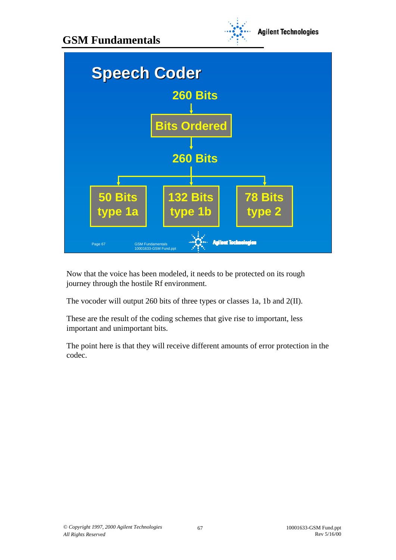



Now that the voice has been modeled, it needs to be protected on its rough journey through the hostile Rf environment.

The vocoder will output 260 bits of three types or classes 1a, 1b and 2(II).

These are the result of the coding schemes that give rise to important, less important and unimportant bits.

The point here is that they will receive different amounts of error protection in the codec.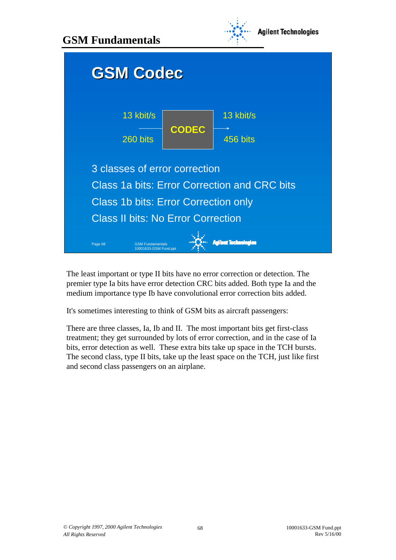

The least important or type II bits have no error correction or detection. The premier type Ia bits have error detection CRC bits added. Both type Ia and the medium importance type Ib have convolutional error correction bits added.

It's sometimes interesting to think of GSM bits as aircraft passengers:

There are three classes, Ia, Ib and II. The most important bits get first-class treatment; they get surrounded by lots of error correction, and in the case of Ia bits, error detection as well. These extra bits take up space in the TCH bursts. The second class, type II bits, take up the least space on the TCH, just like first and second class passengers on an airplane.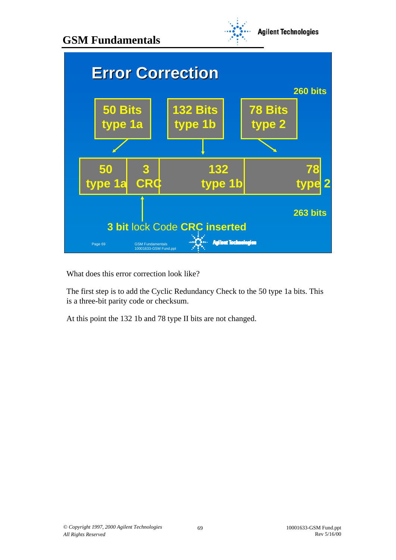

What does this error correction look like?

The first step is to add the Cyclic Redundancy Check to the 50 type 1a bits. This is a three-bit parity code or checksum.

At this point the 132 1b and 78 type II bits are not changed.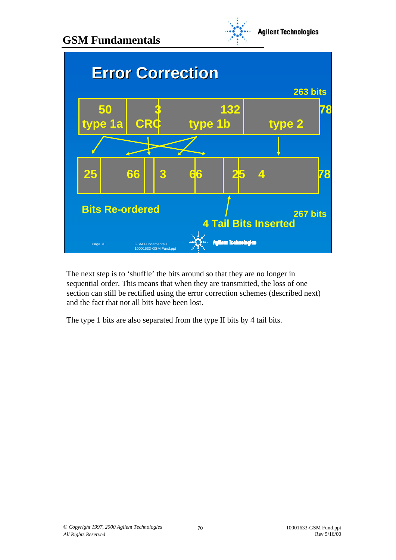



The next step is to 'shuffle' the bits around so that they are no longer in sequential order. This means that when they are transmitted, the loss of one section can still be rectified using the error correction schemes (described next) and the fact that not all bits have been lost.

The type 1 bits are also separated from the type II bits by 4 tail bits.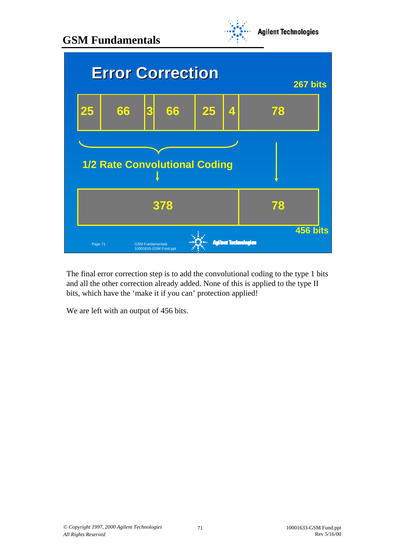

The final error correction step is to add the convolutional coding to the type 1 bits and all the other correction already added. None of this is applied to the type II bits, which have the 'make it if you can' protection applied!

We are left with an output of 456 bits.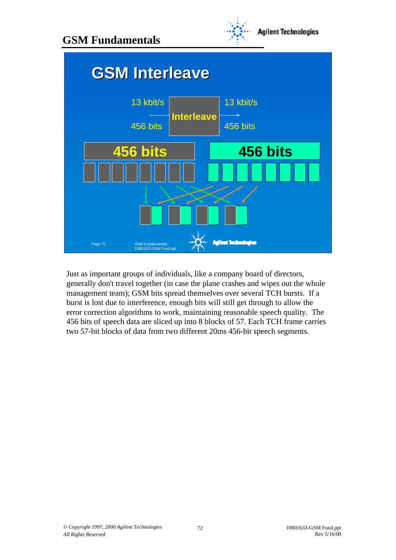



Just as important groups of individuals, like a company board of directors, generally don't travel together (in case the plane crashes and wipes out the whole management team); GSM bits spread themselves over several TCH bursts. If a burst is lost due to interference, enough bits will still get through to allow the error correction algorithms to work, maintaining reasonable speech quality. The 456 bits of speech data are sliced up into 8 blocks of 57. Each TCH frame carries two 57-bit blocks of data from two different 20ms 456-bit speech segments.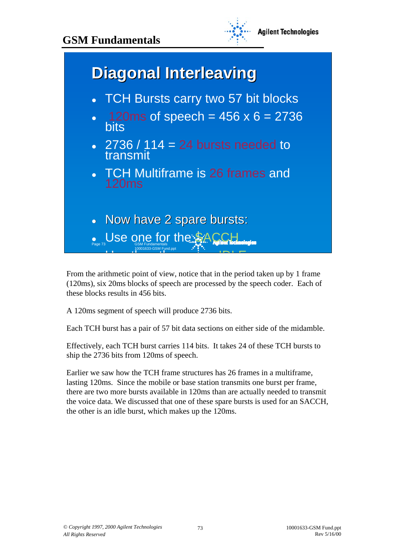

## **Diagonal Interleaving Diagonal Interleaving**

- TCH Bursts carry two 57 bit blocks
- $\cdot$  120ms of speech = 456 x 6 = 2736<br>bits
- $\cdot$  2736 / 114 = 24 bursts needed to transmit
- TCH Multiframe is 26 frames and
- Now have 2 spare bursts:

 $\mathbf{U}$  the  $\mathbf{U}$  is the IDLE  $\mathbf{U}$ 

**.** Use one for the SACCH

10001633-GSM Fund.ppt

From the arithmetic point of view, notice that in the period taken up by 1 frame (120ms), six 20ms blocks of speech are processed by the speech coder. Each of these blocks results in 456 bits.

A 120ms segment of speech will produce 2736 bits.

Each TCH burst has a pair of 57 bit data sections on either side of the midamble.

Effectively, each TCH burst carries 114 bits. It takes 24 of these TCH bursts to ship the 2736 bits from 120ms of speech.

Earlier we saw how the TCH frame structures has 26 frames in a multiframe, lasting 120ms. Since the mobile or base station transmits one burst per frame, there are two more bursts available in 120ms than are actually needed to transmit the voice data. We discussed that one of these spare bursts is used for an SACCH, the other is an idle burst, which makes up the 120ms.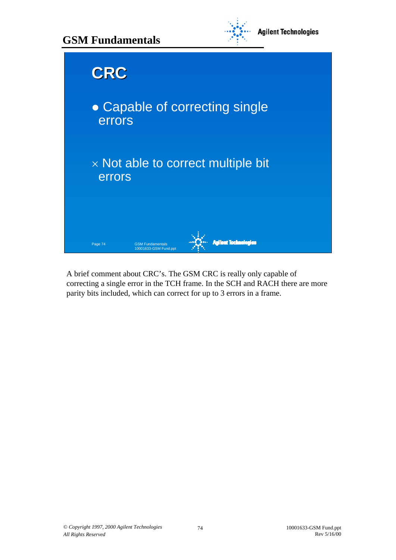





A brief comment about CRC's. The GSM CRC is really only capable of correcting a single error in the TCH frame. In the SCH and RACH there are more parity bits included, which can correct for up to 3 errors in a frame.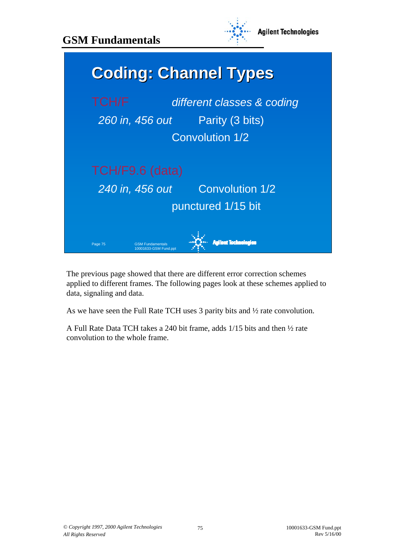



**Agilent Technologies** 



The previous page showed that there are different error correction schemes applied to different frames. The following pages look at these schemes applied to data, signaling and data.

As we have seen the Full Rate TCH uses 3 parity bits and ½ rate convolution.

A Full Rate Data TCH takes a 240 bit frame, adds 1/15 bits and then ½ rate convolution to the whole frame.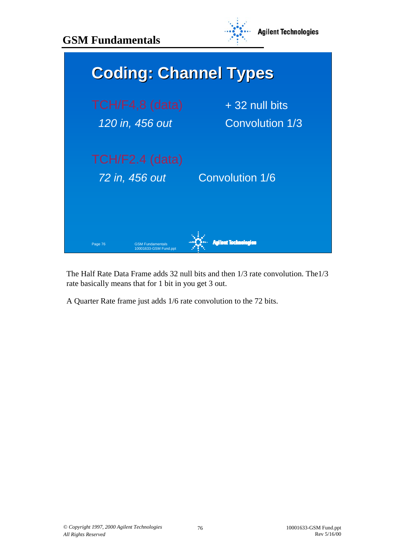

The Half Rate Data Frame adds 32 null bits and then 1/3 rate convolution. The1/3 rate basically means that for 1 bit in you get 3 out.

A Quarter Rate frame just adds 1/6 rate convolution to the 72 bits.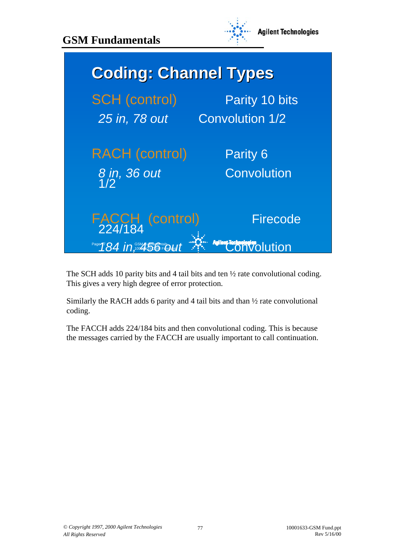

The SCH adds 10 parity bits and 4 tail bits and ten  $\frac{1}{2}$  rate convolutional coding. This gives a very high degree of error protection.

Similarly the RACH adds 6 parity and 4 tail bits and than ½ rate convolutional coding.

The FACCH adds 224/184 bits and then convolutional coding. This is because the messages carried by the FACCH are usually important to call continuation.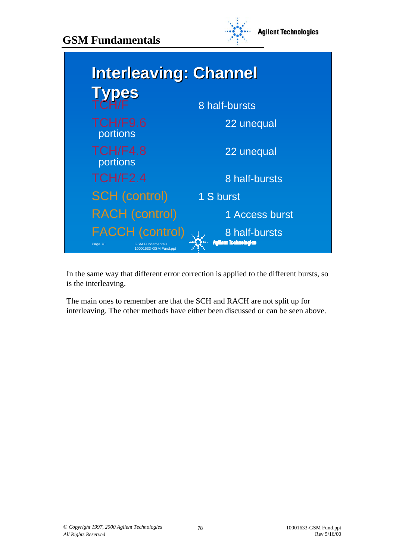



In the same way that different error correction is applied to the different bursts, so is the interleaving.

The main ones to remember are that the SCH and RACH are not split up for interleaving. The other methods have either been discussed or can be seen above.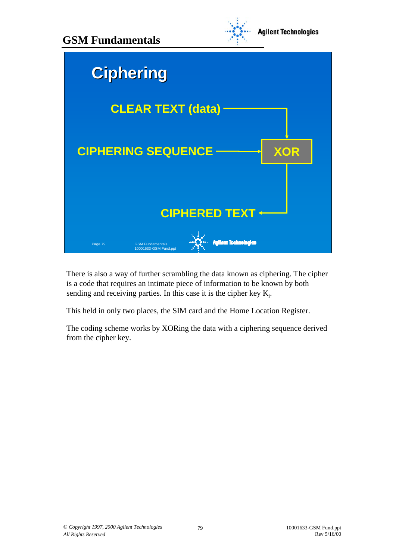



There is also a way of further scrambling the data known as ciphering. The cipher is a code that requires an intimate piece of information to be known by both sending and receiving parties. In this case it is the cipher key  $K_i$ .

This held in only two places, the SIM card and the Home Location Register.

The coding scheme works by XORing the data with a ciphering sequence derived from the cipher key.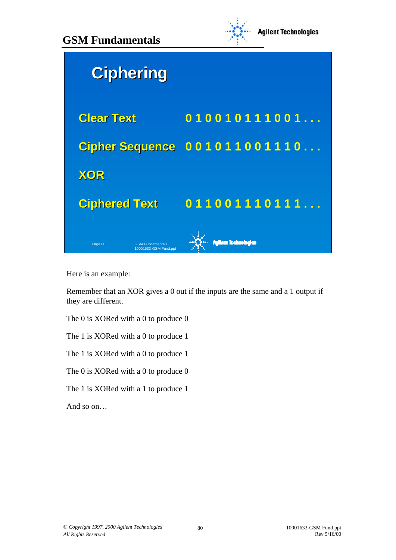



Here is an example:

Remember that an XOR gives a 0 out if the inputs are the same and a 1 output if they are different.

The 0 is XORed with a 0 to produce 0

The 1 is XORed with a 0 to produce 1

The 1 is XORed with a 0 to produce 1

The 0 is XORed with a 0 to produce 0

The 1 is XORed with a 1 to produce 1

And so on…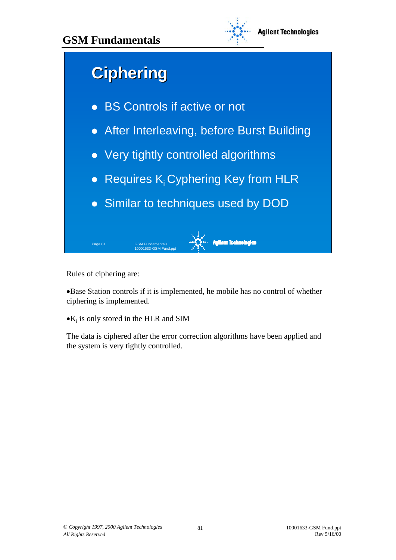

**Agilent Tochnologies** 

# **Ciphering Ciphering**

- BS Controls if active or not
- After Interleaving, before Burst Building
- Very tightly controlled algorithms
- Requires  $K_i$  Cyphering Key from HLR
- Similar to techniques used by DOD

Rules of ciphering are:

Page 81

•Base Station controls if it is implemented, he mobile has no control of whether ciphering is implemented.

 $\bullet$ K<sub>i</sub> is only stored in the HLR and SIM

GSM Fundamentals 10001633-GSM Fund.ppt

The data is ciphered after the error correction algorithms have been applied and the system is very tightly controlled.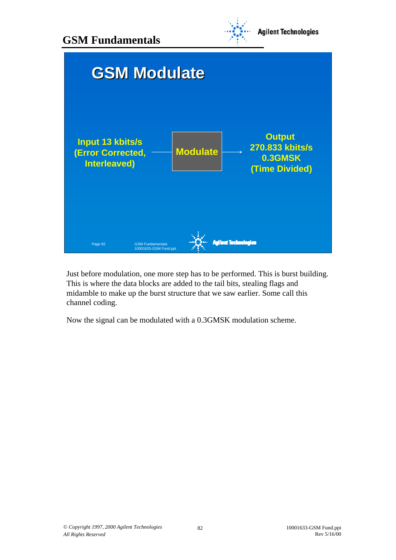



Just before modulation, one more step has to be performed. This is burst building. This is where the data blocks are added to the tail bits, stealing flags and midamble to make up the burst structure that we saw earlier. Some call this channel coding.

Now the signal can be modulated with a 0.3GMSK modulation scheme.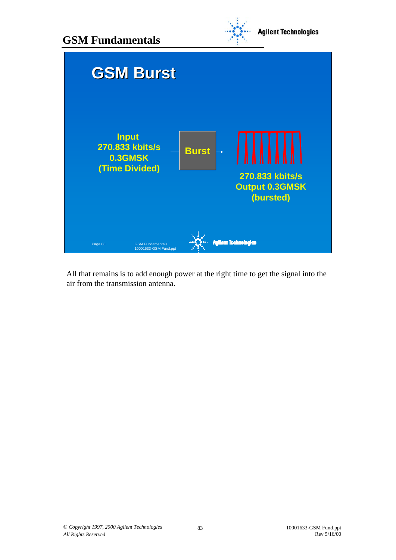



All that remains is to add enough power at the right time to get the signal into the air from the transmission antenna.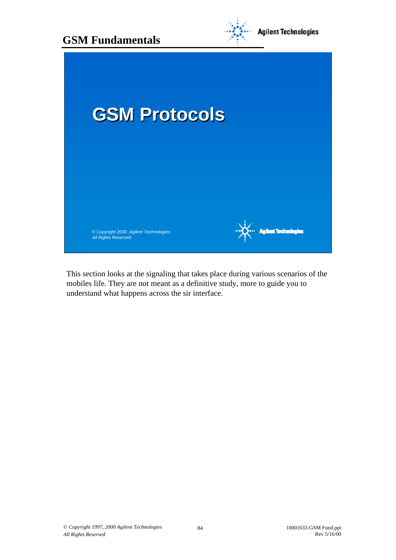

This section looks at the signaling that takes place during various scenarios of the mobiles life. They are not meant as a definitive study, more to guide you to understand what happens across the sir interface.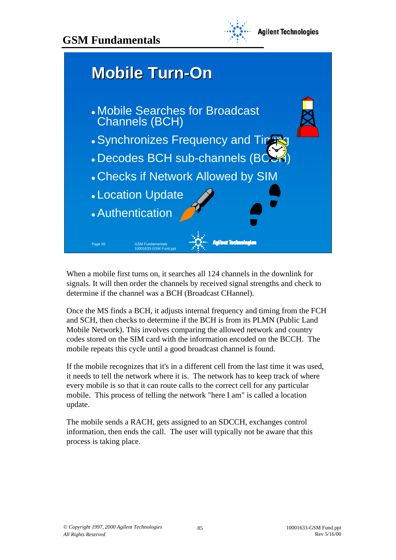



When a mobile first turns on, it searches all 124 channels in the downlink for signals. It will then order the channels by received signal strengths and check to determine if the channel was a BCH (Broadcast CHannel).

Once the MS finds a BCH, it adjusts internal frequency and timing from the FCH and SCH, then checks to determine if the BCH is from its PLMN (Public Land Mobile Network). This involves comparing the allowed network and country codes stored on the SIM card with the information encoded on the BCCH. The mobile repeats this cycle until a good broadcast channel is found.

If the mobile recognizes that it's in a different cell from the last time it was used, it needs to tell the network where it is. The network has to keep track of where every mobile is so that it can route calls to the correct cell for any particular mobile. This process of telling the network "here I am" is called a location update.

The mobile sends a RACH, gets assigned to an SDCCH, exchanges control information, then ends the call. The user will typically not be aware that this process is taking place.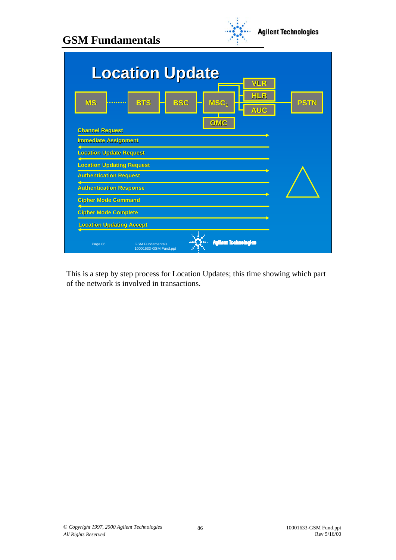

|                                                                   | <b>Location Update</b>                           |                         | VLR               |             |
|-------------------------------------------------------------------|--------------------------------------------------|-------------------------|-------------------|-------------|
| <b>MS</b><br>.                                                    | <b>BSC</b><br><b>BTS</b>                         | MSC <sub>1</sub>        | HLR<br><b>AUC</b> | <b>PSTN</b> |
| <b>Channel Request</b><br><b>Immediate Assignment</b>             |                                                  | OMC                     |                   |             |
| <b>Location Update Request</b>                                    |                                                  |                         |                   |             |
| <b>Location Updating Request</b><br><b>Authentication Request</b> |                                                  |                         |                   |             |
| <b>Authentication Response</b>                                    |                                                  |                         |                   |             |
| <b>Cipher Mode Command</b><br><b>Cipher Mode Complete</b>         |                                                  |                         |                   |             |
| <b>Location Updating Accept</b>                                   |                                                  |                         |                   |             |
| Page 86                                                           | <b>GSM Fundamentals</b><br>10001633-GSM Fund.ppt | <b>Agilent Technolo</b> |                   |             |

This is a step by step process for Location Updates; this time showing which part of the network is involved in transactions.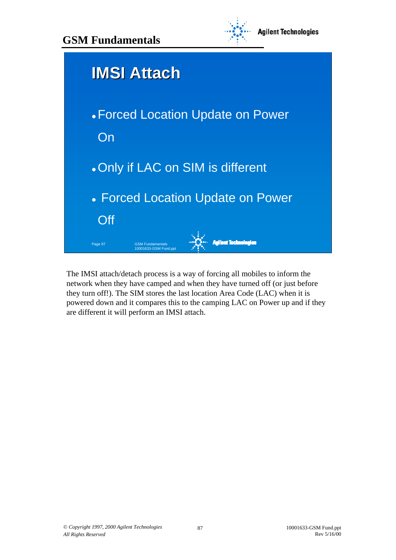



The IMSI attach/detach process is a way of forcing all mobiles to inform the network when they have camped and when they have turned off (or just before they turn off!). The SIM stores the last location Area Code (LAC) when it is powered down and it compares this to the camping LAC on Power up and if they are different it will perform an IMSI attach.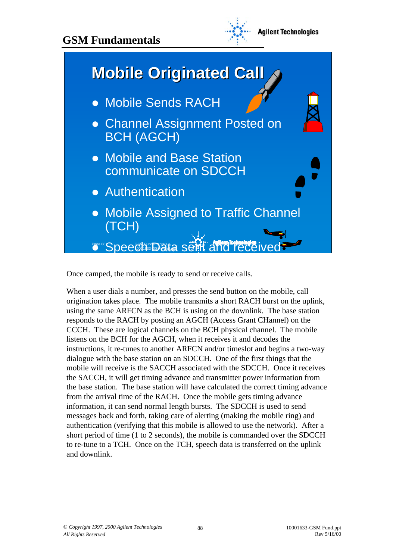

**Agilent Technologies** 



Once camped, the mobile is ready to send or receive calls.

When a user dials a number, and presses the send button on the mobile, call origination takes place. The mobile transmits a short RACH burst on the uplink, using the same ARFCN as the BCH is using on the downlink. The base station responds to the RACH by posting an AGCH (Access Grant CHannel) on the CCCH. These are logical channels on the BCH physical channel. The mobile listens on the BCH for the AGCH, when it receives it and decodes the instructions, it re-tunes to another ARFCN and/or timeslot and begins a two-way dialogue with the base station on an SDCCH. One of the first things that the mobile will receive is the SACCH associated with the SDCCH. Once it receives the SACCH, it will get timing advance and transmitter power information from the base station. The base station will have calculated the correct timing advance from the arrival time of the RACH. Once the mobile gets timing advance information, it can send normal length bursts. The SDCCH is used to send messages back and forth, taking care of alerting (making the mobile ring) and authentication (verifying that this mobile is allowed to use the network). After a short period of time (1 to 2 seconds), the mobile is commanded over the SDCCH to re-tune to a TCH. Once on the TCH, speech data is transferred on the uplink and downlink.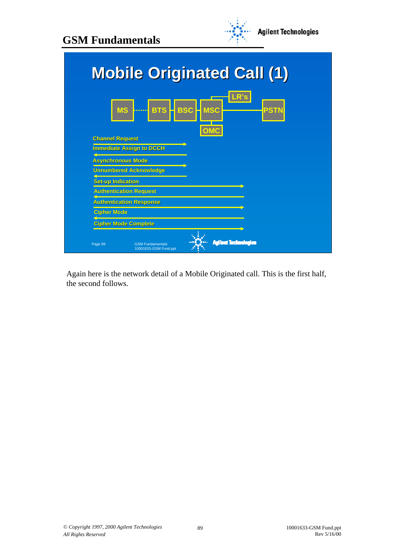

|                          | <b>Mobile Originated Call (1)</b>                              |             |
|--------------------------|----------------------------------------------------------------|-------------|
|                          | <b>BSC</b><br><b>BTS</b><br><b>MSC</b><br><b>MS</b><br><b></b> | <b>PSTN</b> |
| <b>Channel Request</b>   | OMC                                                            |             |
|                          | <b>Immediate Assign to DCCH</b>                                |             |
|                          | <b>Asynchronous Mode</b>                                       |             |
|                          | <b>Unnumbered Acknowledge</b>                                  |             |
| <b>Set-up Indication</b> |                                                                |             |
|                          | <b>Authentication Request</b>                                  |             |
|                          | <b>Authentication Response</b>                                 |             |
| <b>Cipher Mode</b>       |                                                                |             |
|                          | <b>Cipher Mode Complete</b>                                    |             |
| Page 89                  | <b>GSM Fundamentals</b><br>10001633-GSM Fund.ppt               |             |

Again here is the network detail of a Mobile Originated call. This is the first half, the second follows.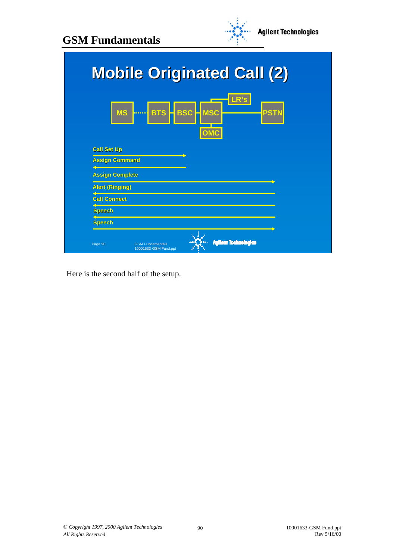

|                        | LR's<br><b>BTS</b><br><b>BSC</b><br><b>MS</b><br><b>MSC</b><br>PSTN<br><b>Provident</b><br><b>OMC</b> |
|------------------------|-------------------------------------------------------------------------------------------------------|
| <b>Call Set Up</b>     |                                                                                                       |
| <b>Assign Command</b>  |                                                                                                       |
| <b>Assign Complete</b> |                                                                                                       |
| <b>Alert (Ringing)</b> |                                                                                                       |
| <b>Call Connect</b>    |                                                                                                       |
| <b>Speech</b>          |                                                                                                       |
| <b>Speech</b>          |                                                                                                       |

Here is the second half of the setup.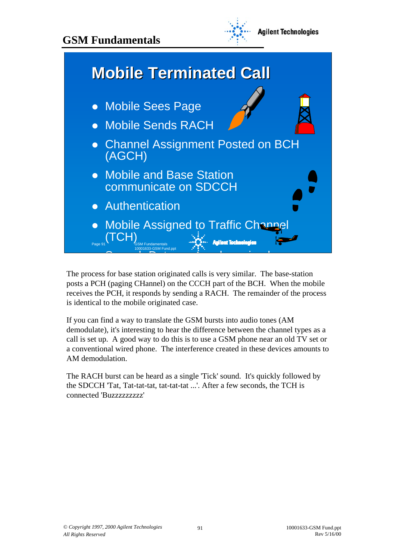



**Agilent Technologies** 



The process for base station originated calls is very similar. The base-station posts a PCH (paging CHannel) on the CCCH part of the BCH. When the mobile receives the PCH, it responds by sending a RACH. The remainder of the process is identical to the mobile originated case.

If you can find a way to translate the GSM bursts into audio tones (AM demodulate), it's interesting to hear the difference between the channel types as a call is set up. A good way to do this is to use a GSM phone near an old TV set or a conventional wired phone. The interference created in these devices amounts to AM demodulation.

The RACH burst can be heard as a single 'Tick' sound. It's quickly followed by the SDCCH 'Tat, Tat-tat-tat, tat-tat-tat ...'. After a few seconds, the TCH is connected 'Buzzzzzzzzz'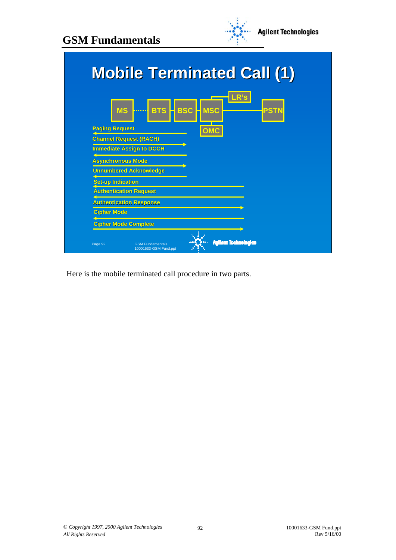



Here is the mobile terminated call procedure in two parts.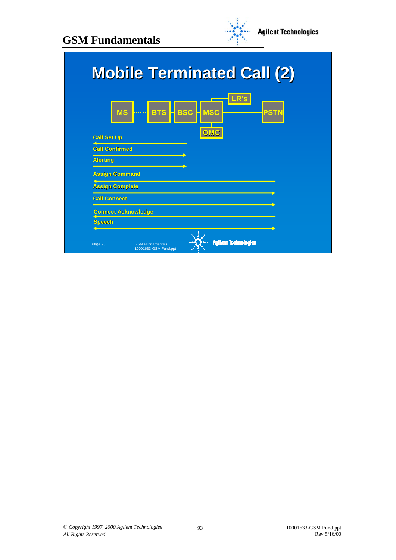

**Agilent Technologies**